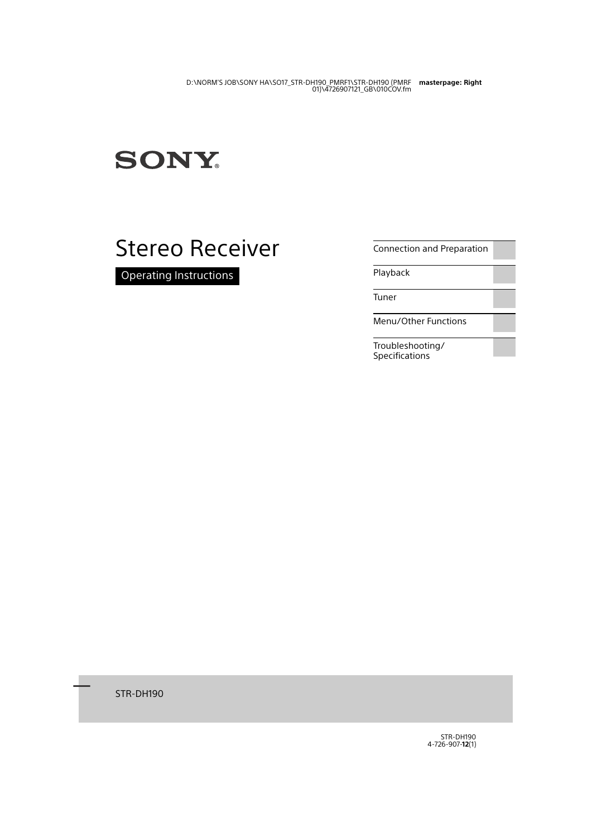# **SONY**

# Stereo Receiver

Operating Instructions

[Connection and Preparation](#page-11-0)

[Playback](#page-20-0)

[Tuner](#page-23-0)

[Menu/Other Functions](#page-26-0)

[Troubleshooting/](#page-32-0) [Specifications](#page-32-0)

۳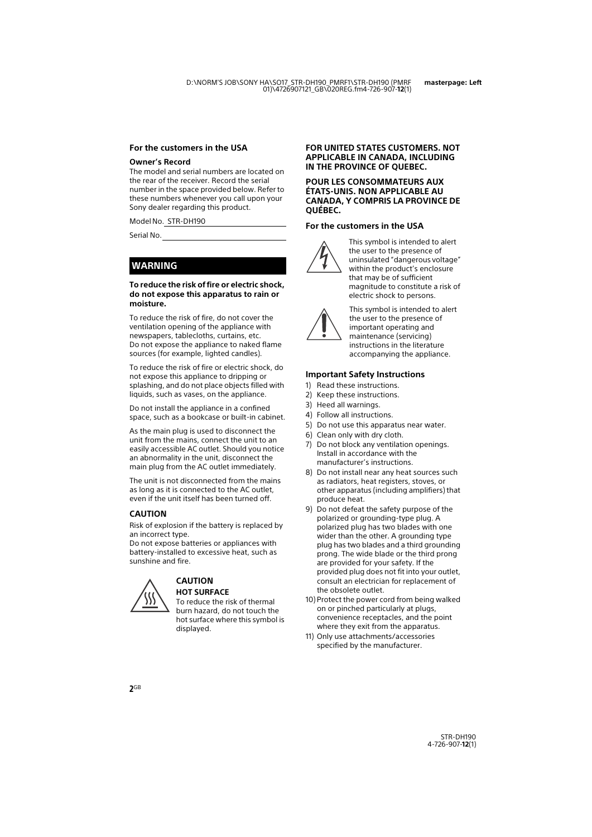#### **For the customers in the USA**

#### **Owner's Record**

The model and serial numbers are located on the rear of the receiver. Record the serial number in the space provided below. Refer to these numbers whenever you call upon your Sony dealer regarding this product.

Model No. STR-DH190

Serial No.

### **WARNING**

#### **To reduce the risk of fire or electric shock, do not expose this apparatus to rain or moisture.**

To reduce the risk of fire, do not cover the ventilation opening of the appliance with newspapers, tablecloths, curtains, etc. Do not expose the appliance to naked flame sources (for example, lighted candles).

To reduce the risk of fire or electric shock, do not expose this appliance to dripping or splashing, and do not place objects filled with liquids, such as vases, on the appliance.

Do not install the appliance in a confined space, such as a bookcase or built-in cabinet.

As the main plug is used to disconnect the unit from the mains, connect the unit to an easily accessible AC outlet. Should you notice an abnormality in the unit, disconnect the main plug from the AC outlet immediately.

The unit is not disconnected from the mains as long as it is connected to the AC outlet, even if the unit itself has been turned off.

### **CAUTION**

Risk of explosion if the battery is replaced by an incorrect type.

Do not expose batteries or appliances with battery-installed to excessive heat, such as sunshine and fire.



#### **CAUTION HOT SURFACE**

To reduce the risk of thermal burn hazard, do not touch the hot surface where this symbol is displayed.

#### **FOR UNITED STATES CUSTOMERS. NOT APPLICABLE IN CANADA, INCLUDING IN THE PROVINCE OF QUEBEC.**

#### **POUR LES CONSOMMATEURS AUX ÉTATS-UNIS. NON APPLICABLE AU CANADA, Y COMPRIS LA PROVINCE DE QUÉBEC.**

#### **For the customers in the USA**



This symbol is intended to alert the user to the presence of uninsulated "dangerous voltage" within the product's enclosure that may be of sufficient magnitude to constitute a risk of electric shock to persons.



This symbol is intended to alert the user to the presence of important operating and maintenance (servicing) instructions in the literature accompanying the appliance.

#### **Important Safety Instructions**

- 1) Read these instructions.
- 2) Keep these instructions.
- 3) Heed all warnings.
- 4) Follow all instructions.
- 5) Do not use this apparatus near water.
- 6) Clean only with dry cloth.
- 7) Do not block any ventilation openings. Install in accordance with the manufacturer's instructions.
- 8) Do not install near any heat sources such as radiators, heat registers, stoves, or other apparatus (including amplifiers) that produce heat.
- 9) Do not defeat the safety purpose of the polarized or grounding-type plug. A polarized plug has two blades with one wider than the other. A grounding type plug has two blades and a third grounding prong. The wide blade or the third prong are provided for your safety. If the provided plug does not fit into your outlet, consult an electrician for replacement of the obsolete outlet.
- 10) Protect the power cord from being walked on or pinched particularly at plugs, convenience receptacles, and the point where they exit from the apparatus.
- 11) Only use attachments/accessories specified by the manufacturer.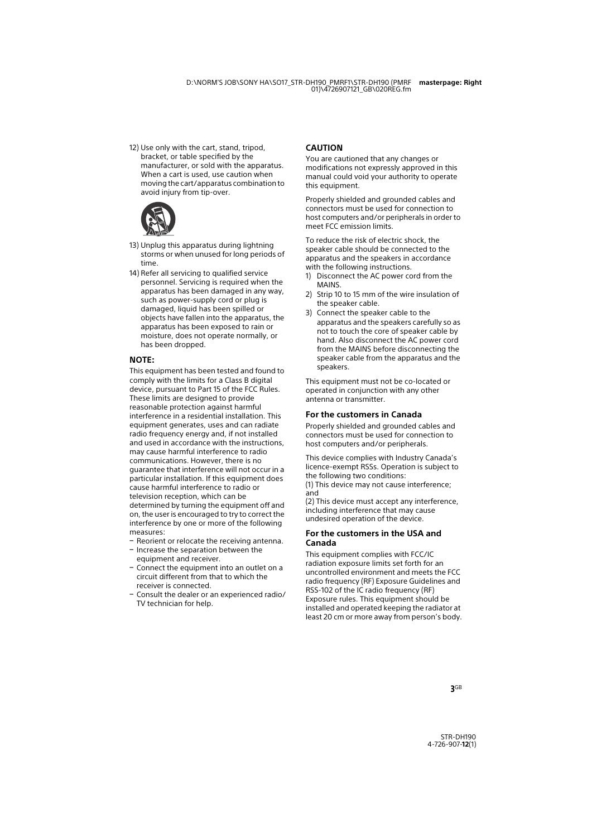12) Use only with the cart, stand, tripod, bracket, or table specified by the manufacturer, or sold with the apparatus. When a cart is used, use caution when moving the cart/apparatus combination to avoid injury from tip-over.



- 13) Unplug this apparatus during lightning storms or when unused for long periods of time.
- 14) Refer all servicing to qualified service personnel. Servicing is required when the apparatus has been damaged in any way, such as power-supply cord or plug is damaged, liquid has been spilled or objects have fallen into the apparatus, the apparatus has been exposed to rain or moisture, does not operate normally, or has been dropped.

#### **NOTE:**

This equipment has been tested and found to comply with the limits for a Class B digital device, pursuant to Part 15 of the FCC Rules. These limits are designed to provide reasonable protection against harmful interference in a residential installation. This equipment generates, uses and can radiate radio frequency energy and, if not installed and used in accordance with the instructions, may cause harmful interference to radio communications. However, there is no guarantee that interference will not occur in a particular installation. If this equipment does cause harmful interference to radio or television reception, which can be determined by turning the equipment off and on, the user is encouraged to try to correct the interference by one or more of the following measures:

- $-$  Reorient or relocate the receiving antenna.
- $-$  Increase the separation between the equipment and receiver.
- Connect the equipment into an outlet on a circuit different from that to which the receiver is connected.
- Consult the dealer or an experienced radio/ TV technician for help.

#### **CAUTION**

You are cautioned that any changes or modifications not expressly approved in this manual could void your authority to operate this equipment.

Properly shielded and grounded cables and connectors must be used for connection to host computers and/or peripherals in order to meet FCC emission limits.

To reduce the risk of electric shock, the speaker cable should be connected to the apparatus and the speakers in accordance with the following instructions.

- 1) Disconnect the AC power cord from the MAINS.
- 2) Strip 10 to 15 mm of the wire insulation of the speaker cable.
- 3) Connect the speaker cable to the apparatus and the speakers carefully so as not to touch the core of speaker cable by hand. Also disconnect the AC power cord from the MAINS before disconnecting the speaker cable from the apparatus and the speakers.

This equipment must not be co-located or operated in conjunction with any other antenna or transmitter.

#### **For the customers in Canada**

Properly shielded and grounded cables and connectors must be used for connection to host computers and/or peripherals.

This device complies with Industry Canada's licence-exempt RSSs. Operation is subject to the following two conditions:

(1) This device may not cause interference; and

(2) This device must accept any interference, including interference that may cause undesired operation of the device.

#### **For the customers in the USA and Canada**

This equipment complies with FCC/IC radiation exposure limits set forth for an uncontrolled environment and meets the FCC radio frequency (RF) Exposure Guidelines and RSS-102 of the IC radio frequency (RF) Exposure rules. This equipment should be installed and operated keeping the radiator at least 20 cm or more away from person's body.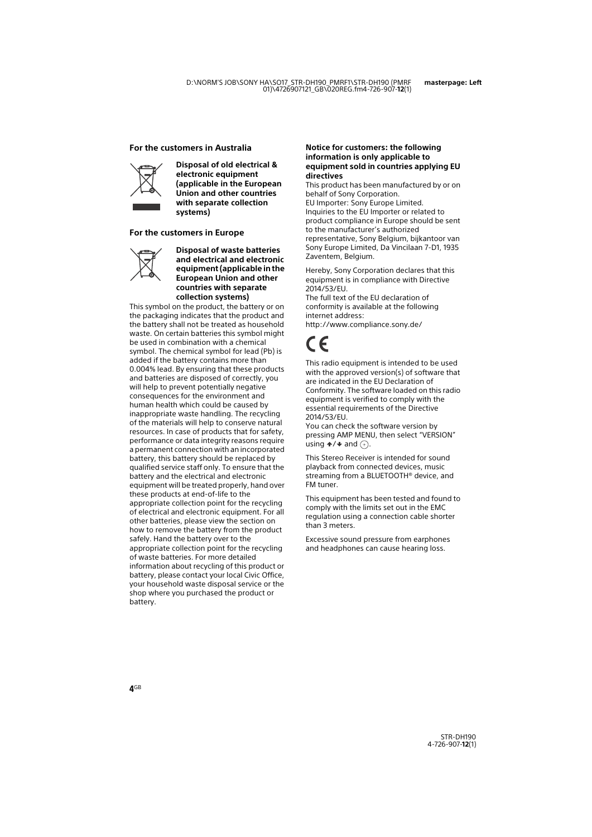#### **For the customers in Australia**



**Disposal of old electrical & electronic equipment (applicable in the European Union and other countries with separate collection systems)**

#### **For the customers in Europe**



**Disposal of waste batteries and electrical and electronic equipment (applicable in the European Union and other countries with separate collection systems)**

This symbol on the product, the battery or on the packaging indicates that the product and the battery shall not be treated as household waste. On certain batteries this symbol might be used in combination with a chemical symbol. The chemical symbol for lead (Pb) is added if the battery contains more than 0.004% lead. By ensuring that these products and batteries are disposed of correctly, you will help to prevent potentially negative consequences for the environment and human health which could be caused by inappropriate waste handling. The recycling of the materials will help to conserve natural resources. In case of products that for safety, performance or data integrity reasons require a permanent connection with an incorporated battery, this battery should be replaced by qualified service staff only. To ensure that the battery and the electrical and electronic equipment will be treated properly, hand over these products at end-of-life to the appropriate collection point for the recycling of electrical and electronic equipment. For all other batteries, please view the section on how to remove the battery from the product safely. Hand the battery over to the appropriate collection point for the recycling of waste batteries. For more detailed information about recycling of this product or battery, please contact your local Civic Office, your household waste disposal service or the shop where you purchased the product or battery.

#### **Notice for customers: the following information is only applicable to equipment sold in countries applying EU directives**

This product has been manufactured by or on behalf of Sony Corporation. EU Importer: Sony Europe Limited. Inquiries to the EU Importer or related to product compliance in Europe should be sent to the manufacturer's authorized representative, Sony Belgium, bijkantoor van Sony Europe Limited, Da Vincilaan 7-D1, 1935 Zaventem, Belgium.

Hereby, Sony Corporation declares that this equipment is in compliance with Directive 2014/53/EU.

The full text of the EU declaration of conformity is available at the following internet address:

http://www.compliance.sony.de/

This radio equipment is intended to be used with the approved version(s) of software that are indicated in the EU Declaration of Conformity. The software loaded on this radio equipment is verified to comply with the essential requirements of the Directive 2014/53/EU.

You can check the software version by pressing AMP MENU, then select "VERSION" using  $\div/\div$  and  $\left(\frac{\pi}{2}\right)$ .

This Stereo Receiver is intended for sound playback from connected devices, music streaming from a BLUETOOTH® device, and FM tuner.

This equipment has been tested and found to comply with the limits set out in the EMC regulation using a connection cable shorter than 3 meters.

Excessive sound pressure from earphones and headphones can cause hearing loss.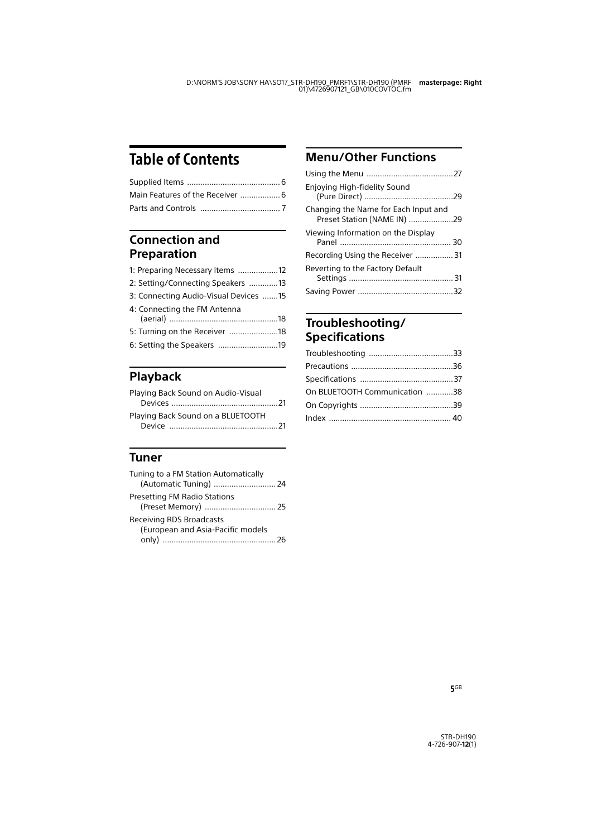# Table of Contents

### **[Connection and](#page-11-1)  Preparation**

| 1: Preparing Necessary Items 12       |  |
|---------------------------------------|--|
| 2: Setting/Connecting Speakers 13     |  |
| 3: Connecting Audio-Visual Devices 15 |  |
| 4: Connecting the FM Antenna          |  |
| 5: Turning on the Receiver 18         |  |
| 6: Setting the Speakers 19            |  |

### **[Playback](#page-20-1)**

| Playing Back Sound on Audio-Visual |  |
|------------------------------------|--|
|                                    |  |
| Playing Back Sound on a BLUETOOTH  |  |
|                                    |  |

### **[Tuner](#page-23-1)**

| Tuning to a FM Station Automatically<br>(Automatic Tuning)  24       |  |
|----------------------------------------------------------------------|--|
| <b>Presetting FM Radio Stations</b>                                  |  |
| <b>Receiving RDS Broadcasts</b><br>(European and Asia-Pacific models |  |

### **[Menu/Other Functions](#page-26-1)**

| Enjoying High-fidelity Sound                                        |  |
|---------------------------------------------------------------------|--|
| Changing the Name for Each Input and<br>Preset Station (NAME IN) 29 |  |
| Viewing Information on the Display                                  |  |
| Recording Using the Receiver 31                                     |  |
| Reverting to the Factory Default                                    |  |
|                                                                     |  |

### **[Troubleshooting/](#page-32-1) Specifications**

| On BLUETOOTH Communication 38 |  |
|-------------------------------|--|
|                               |  |
|                               |  |
|                               |  |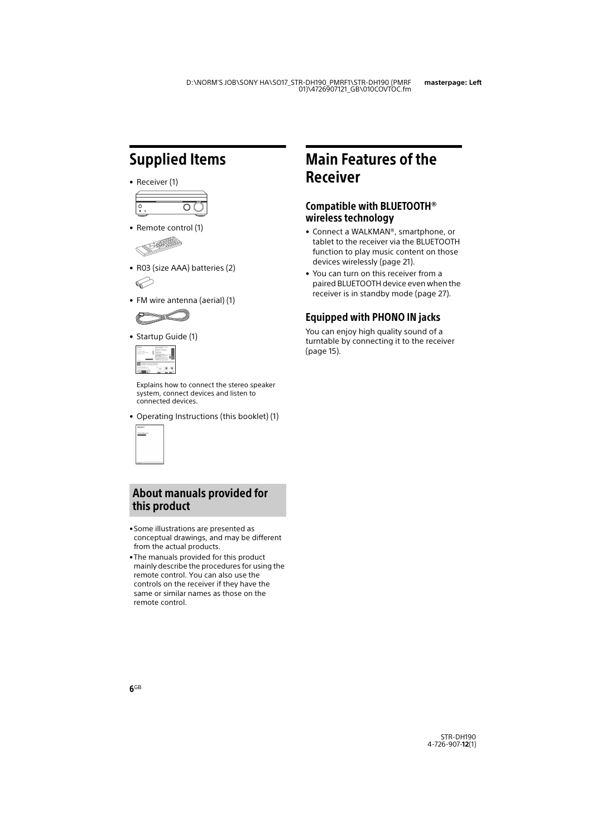# <span id="page-5-2"></span><span id="page-5-0"></span>Supplied Items

• Receiver (1)



• Remote control (1)



- R03 (size AAA) batteries (2)
- FM wire antenna (aerial) (1)



• Startup Guide (1)



Explains how to connect the stereo speaker system, connect devices and listen to connected devices.

• Operating Instructions (this booklet) (1)

| <b>SONY</b>             |
|-------------------------|
| ×.<br><b>STATISTICS</b> |
|                         |
|                         |
|                         |
|                         |
|                         |
| <b>GLACK</b>            |

### About manuals provided for this product

- •Some illustrations are presented as conceptual drawings, and may be different from the actual products.
- •The manuals provided for this product mainly describe the procedures for using the remote control. You can also use the controls on the receiver if they have the same or similar names as those on the remote control.

# <span id="page-5-1"></span>Main Features of the Receiver

### Compatible with BLUETOOTH® wireless technology

- Connect a WALKMAN®, smartphone, or tablet to the receiver via the BLUETOOTH function to play music content on those devices wirelessly [\(page 21\)](#page-20-4).
- You can turn on this receiver from a paired BLUETOOTH device even when the receiver is in standby mode [\(page 27\).](#page-26-3)

### Equipped with PHONO IN jacks

You can enjoy high quality sound of a turntable by connecting it to the receiver [\(page 15\).](#page-14-1)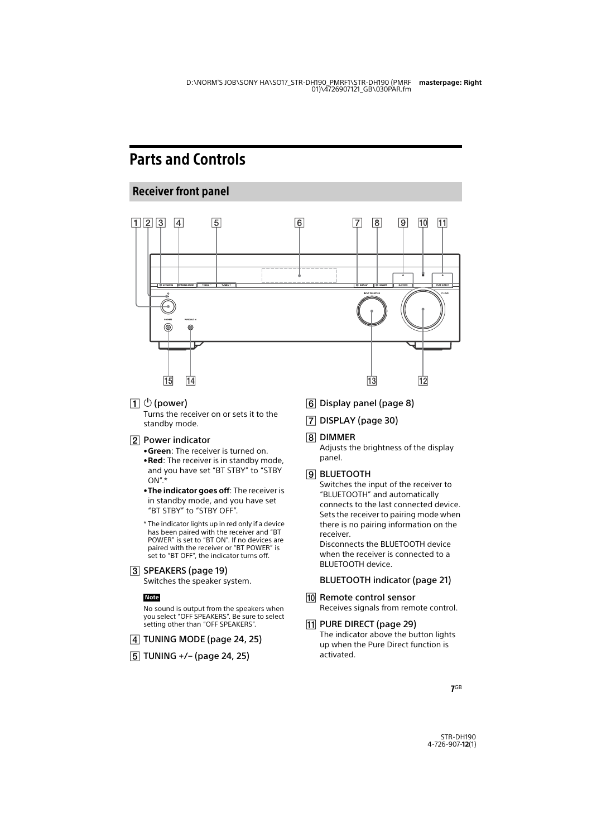# <span id="page-6-0"></span>Parts and Controls

### <span id="page-6-1"></span>Receiver front panel



 $\Box$   $\Diamond$  (power)

Turns the receiver on or sets it to the standby mode.

### 2 Power indicator

- •**Green**: The receiver is turned on.
- •**Red**: The receiver is in standby mode, and you have set "BT STBY" to "STBY  $ON''$ \*
- •**The indicator goes off**: The receiver is in standby mode, and you have set "BT STBY" to "STBY OFF".
- \* The indicator lights up in red only if a device has been paired with the receiver and "BT POWER" is set to "BT ON". If no devices are paired with the receiver or "BT POWER" is set to "BT OFF", the indicator turns off.

3 SPEAKERS (page [19\)](#page-18-1)

Switches the speaker system.

#### **Note**

No sound is output from the speakers when you select "OFF SPEAKERS". Be sure to select setting other than "OFF SPEAKERS".

- $\sqrt{4}$  TUNING MODE (page [24,](#page-23-3) [25](#page-24-1))
- $\boxed{5}$  TUNING +/- (page [24](#page-23-4), [25\)](#page-24-2)
- Display panel (page [8\)](#page-7-0)
- DISPLAY (page [30\)](#page-29-1)
- **R** DIMMER

Adjusts the brightness of the display panel.

#### **BLUETOOTH**

Switches the input of the receiver to "BLUETOOTH" and automatically connects to the last connected device. Sets the receiver to pairing mode when there is no pairing information on the receiver.

Disconnects the BLUETOOTH device when the receiver is connected to a BLUETOOTH device.

### BLUETOOTH indicator (page [21\)](#page-20-5)

10 Remote control sensor Receives signals from remote control.

### 11 PURE DIRECT (page [29\)](#page-28-2)

The indicator above the button lights up when the Pure Direct function is activated.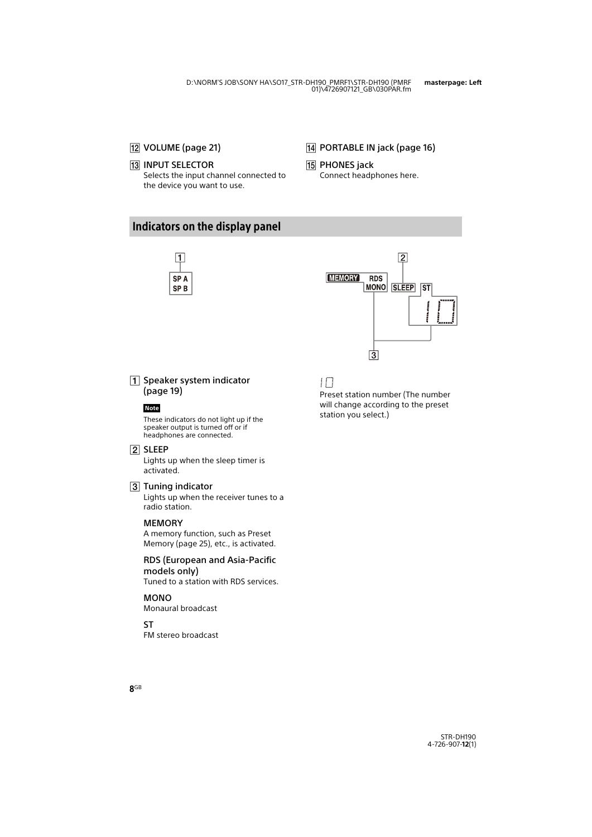### 12 VOLUME (page [21\)](#page-20-6)

### **13 INPUT SELECTOR**

Selects the input channel connected to the device you want to use.

- 14 PORTABLE IN jack (page [16\)](#page-15-0)
- 15 PHONES jack

Connect headphones here.

### <span id="page-7-1"></span><span id="page-7-0"></span>Indicators on the display panel





 $\boxed{1}$  Speaker system indicator (page [19](#page-18-2))

#### **Note**

These indicators do not light up if the speaker output is turned off or if headphones are connected.

#### 2 SLEEP

Lights up when the sleep timer is activated.

#### 3 Tuning indicator

Lights up when the receiver tunes to a radio station.

#### **MEMORY**

A memory function, such as Preset Memory (page [25](#page-24-3)), etc., is activated.

#### RDS (European and Asia-Pacific models only)

Tuned to a station with RDS services.

#### MONO

Monaural broadcast

#### ST

FM stereo broadcast

### IП

Preset station number (The number will change according to the preset station you select.)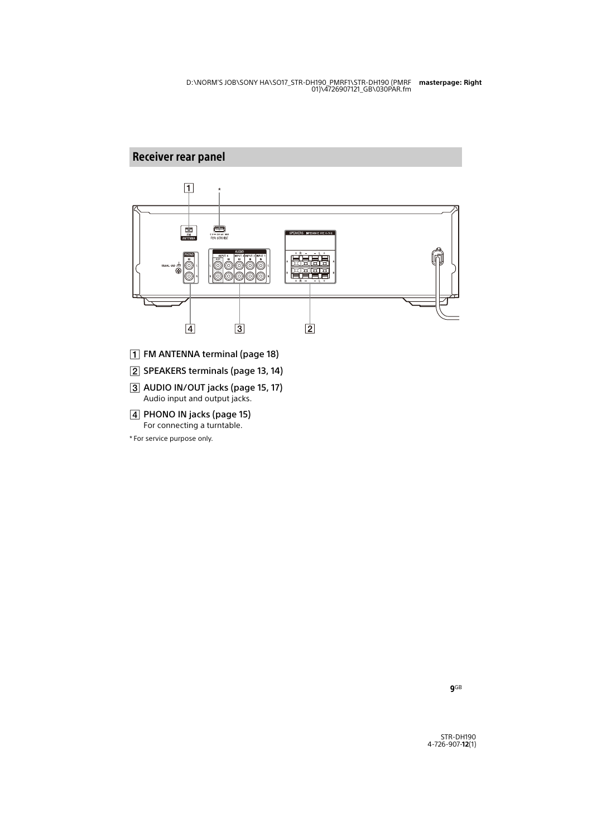### <span id="page-8-0"></span>Receiver rear panel



- FM ANTENNA terminal (page [18\)](#page-17-2)
- [2] SPEAKERS terminals (page [13,](#page-12-1) [14\)](#page-13-0)
- AUDIO IN/OUT jacks (page [15,](#page-14-1) [17](#page-16-0)) Audio input and output jacks.
- PHONO IN jacks (page [15](#page-14-1)) For connecting a turntable.

\* For service purpose only.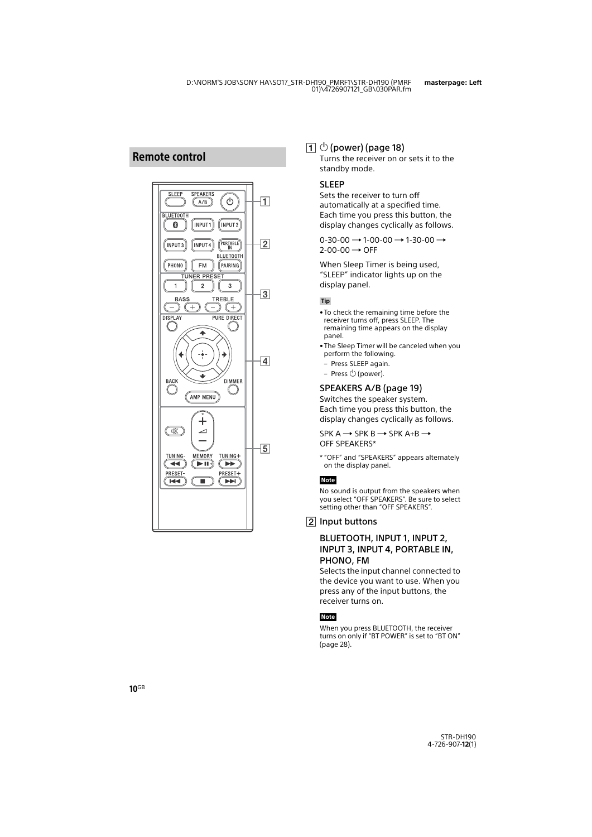### <span id="page-9-0"></span>Remote control



### $\boxed{1}$   $\circlearrowright$  (power) (page [18\)](#page-17-3)

Turns the receiver on or sets it to the standby mode.

#### <span id="page-9-1"></span>SLEEP

Sets the receiver to turn off automatically at a specified time. Each time you press this button, the display changes cyclically as follows.

 $0-30-00 \rightarrow 1-00-00 \rightarrow 1-30-00 \rightarrow$  $2$ -00-00  $\rightarrow$  OFF

When Sleep Timer is being used, "SLEEP" indicator lights up on the display panel.

**Tip**

- To check the remaining time before the receiver turns off, press SLEEP. The remaining time appears on the display panel.
- The Sleep Timer will be canceled when you perform the following.
- Press SLEEP again.
- Press (power).

### SPEAKERS A/B (page [19\)](#page-18-3)

Switches the speaker system. Each time you press this button, the display changes cyclically as follows.

 $SPK A \rightarrow SPK B \rightarrow SPK A+B \rightarrow$ OFF SPEAKERS\*

\* "OFF" and "SPEAKERS" appears alternately on the display panel.

#### **Note**

No sound is output from the speakers when you select "OFF SPEAKERS". Be sure to select setting other than "OFF SPEAKERS".

Input buttons

#### BLUETOOTH, INPUT 1, INPUT 2. INPUT 3, INPUT 4, PORTABLE IN, PHONO, FM

Selects the input channel connected to the device you want to use. When you press any of the input buttons, the receiver turns on.

#### **Note**

When you press BLUETOOTH, the receiver turns on only if "BT POWER" is set to "BT ON" (page [28\)](#page-27-0).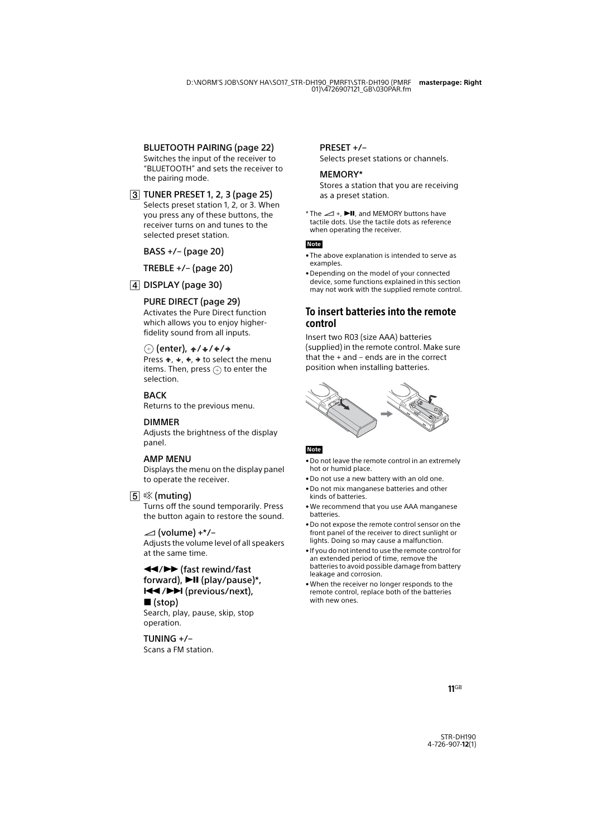### BLUETOOTH PAIRING (page [22\)](#page-21-0)

Switches the input of the receiver to "BLUETOOTH" and sets the receiver to the pairing mode.

#### TUNER PRESET 1, 2, 3 (page [25](#page-24-4))

Selects preset station 1, 2, or 3. When you press any of these buttons, the receiver turns on and tunes to the selected preset station.

BASS +/– (page [20](#page-19-0))

### TREBLE +/– (page [20](#page-19-1))

### [4] DISPLAY (page [30](#page-29-1))

### PURE DIRECT (page [29\)](#page-28-2)

Activates the Pure Direct function which allows you to enjoy higherfidelity sound from all inputs.

### $\overline{a}$  (enter),  $\overline{a}$  /  $\overline{a}$  /  $\overline{a}$  /  $\overline{a}$

Press  $\div$ ,  $\div$ ,  $\div$  to select the menu items. Then, press  $\left( +\right)$  to enter the selection.

#### **BACK**

Returns to the previous menu.

#### DIMMER

Adjusts the brightness of the display panel.

### AMP MENU

Displays the menu on the display panel to operate the receiver.

### [5] 咚 (muting)

Turns off the sound temporarily. Press the button again to restore the sound.

#### $\angle$  (volume) +\*/-

Adjusts the volume level of all speakers at the same time.

/ (fast rewind/fast forward),  $\blacktriangleright$ II (play/pause)\*, / (previous/next),  $\blacksquare$ (stop)

Search, play, pause, skip, stop operation.

TUNING +/– Scans a FM station.

### PRESET +/–

Selects preset stations or channels.

#### MEMORY\*

Stores a station that you are receiving as a preset station.

\* The  $\angle$  +  $\blacktriangleright$ II and MEMORY buttons have tactile dots. Use the tactile dots as reference when operating the receiver.

#### **Note**

- The above explanation is intended to serve as examples.
- Depending on the model of your connected device, some functions explained in this section may not work with the supplied remote control.

### <span id="page-10-0"></span>To insert batteries into the remote control

Insert two R03 (size AAA) batteries (supplied) in the remote control. Make sure that the + and – ends are in the correct position when installing batteries.



#### **Note**

- Do not leave the remote control in an extremely hot or humid place.
- Do not use a new battery with an old one.
- Do not mix manganese batteries and other kinds of batteries.
- We recommend that you use AAA manganese batteries.
- Do not expose the remote control sensor on the front panel of the receiver to direct sunlight or lights. Doing so may cause a malfunction.
- If you do not intend to use the remote control for an extended period of time, remove the batteries to avoid possible damage from battery leakage and corrosion.
- When the receiver no longer responds to the remote control, replace both of the batteries with new ones.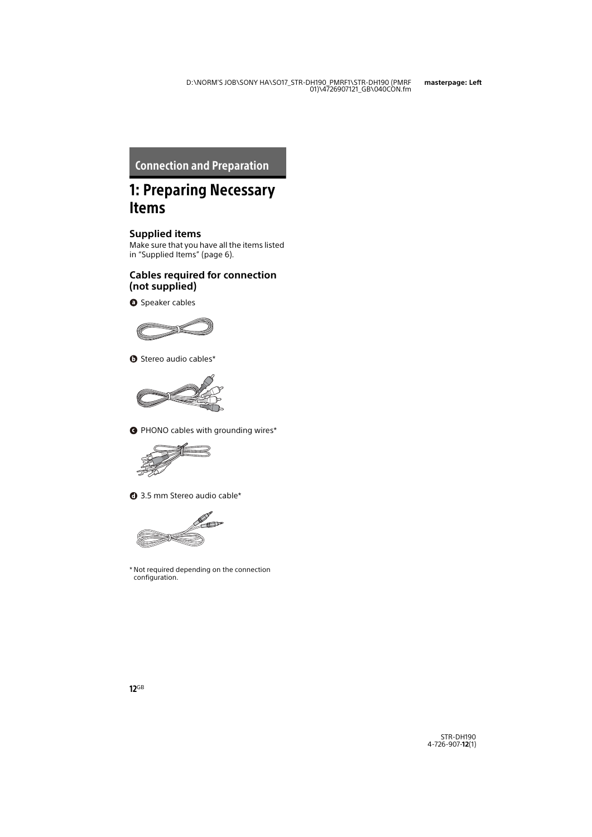### <span id="page-11-1"></span><span id="page-11-0"></span>Connection and Preparation

# <span id="page-11-2"></span>1: Preparing Necessary Items

### **Supplied items**

Make sure that you have all the items listed in ["Supplied Items" \(page 6\)](#page-5-2).

### **Cables required for connection (not supplied)**

**O** Speaker cables



Stereo audio cables\*



PHONO cables with grounding wires\*



3.5 mm Stereo audio cable\*



\* Not required depending on the connection configuration.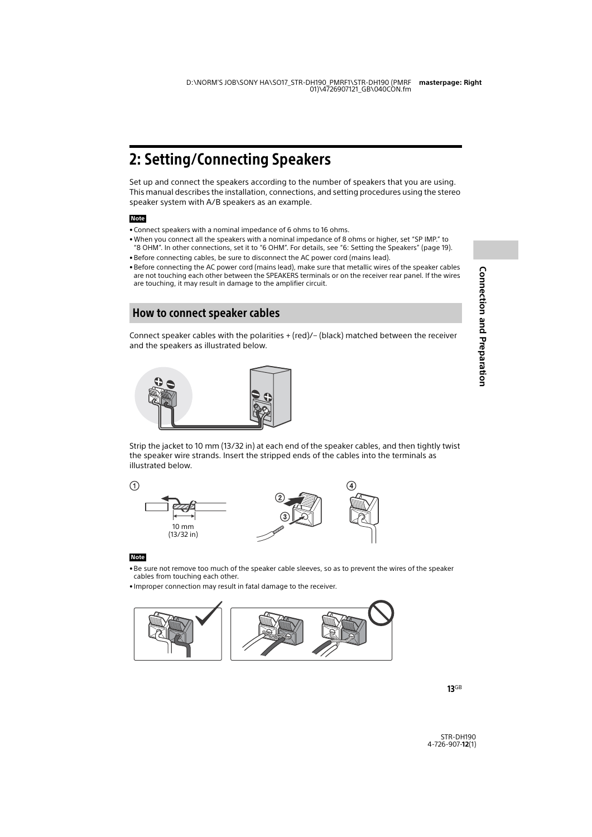# <span id="page-12-2"></span><span id="page-12-0"></span>2: Setting/Connecting Speakers

Set up and connect the speakers according to the number of speakers that you are using. This manual describes the installation, connections, and setting procedures using the stereo speaker system with A/B speakers as an example.

#### **Note**

- Connect speakers with a nominal impedance of 6 ohms to 16 ohms.
- When you connect all the speakers with a nominal impedance of 8 ohms or higher, set "SP IMP." to "8 OHM". In other connections, set it to "6 OHM". For details, see ["6: Setting the Speakers" \(page 19\)](#page-18-0).
- Before connecting cables, be sure to disconnect the AC power cord (mains lead).
- Before connecting the AC power cord (mains lead), make sure that metallic wires of the speaker cables are not touching each other between the SPEAKERS terminals or on the receiver rear panel. If the wires are touching, it may result in damage to the amplifier circuit.

### <span id="page-12-1"></span>How to connect speaker cables

Connect speaker cables with the polarities + (red)/– (black) matched between the receiver and the speakers as illustrated below.



Strip the jacket to 10 mm (13/32 in) at each end of the speaker cables, and then tightly twist the speaker wire strands. Insert the stripped ends of the cables into the terminals as illustrated below.



#### **Note**

- Be sure not remove too much of the speaker cable sleeves, so as to prevent the wires of the speaker cables from touching each other.
- Improper connection may result in fatal damage to the receiver.

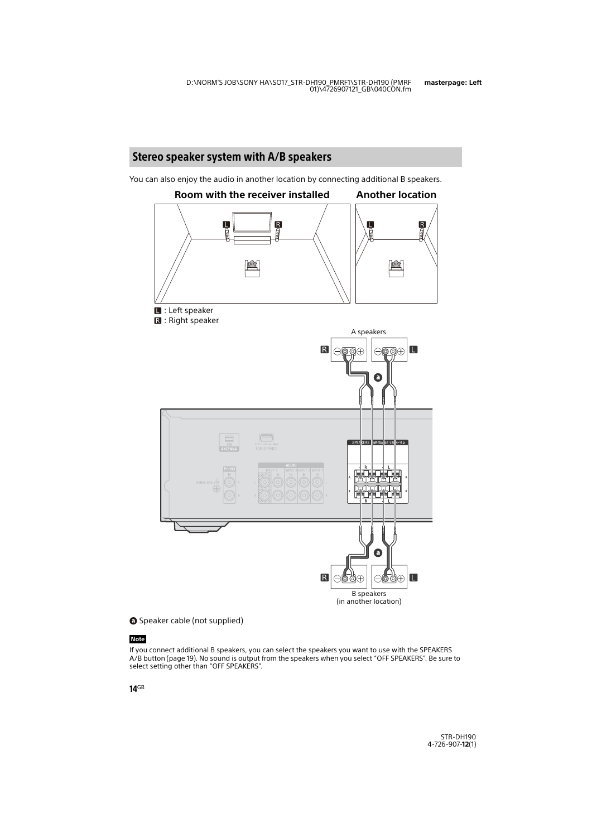<span id="page-13-0"></span>You can also enjoy the audio in another location by connecting additional B speakers.



Speaker cable (not supplied)

#### **Note**

If you connect additional B speakers, you can select the speakers you want to use with the SPEAKERS A/B button (page [19\)](#page-18-4). No sound is output from the speakers when you select "OFF SPEAKERS". Be sure to select setting other than "OFF SPEAKERS".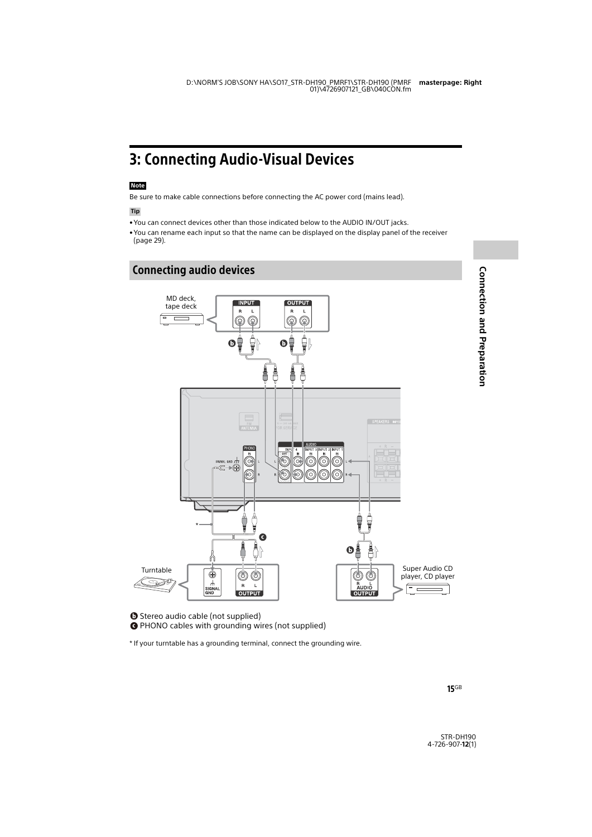# <span id="page-14-2"></span><span id="page-14-0"></span>3: Connecting Audio-Visual Devices

#### **Note**

Be sure to make cable connections before connecting the AC power cord (mains lead).

**Tip**

- You can connect devices other than those indicated below to the AUDIO IN/OUT jacks.
- You can rename each input so that the name can be displayed on the display panel of the receiver (page [29\)](#page-28-3).

### <span id="page-14-1"></span>Connecting audio devices



**Connection and Preparation Connection and Preparation**

**O** Stereo audio cable (not supplied)

PHONO cables with grounding wires (not supplied)

\* If your turntable has a grounding terminal, connect the grounding wire.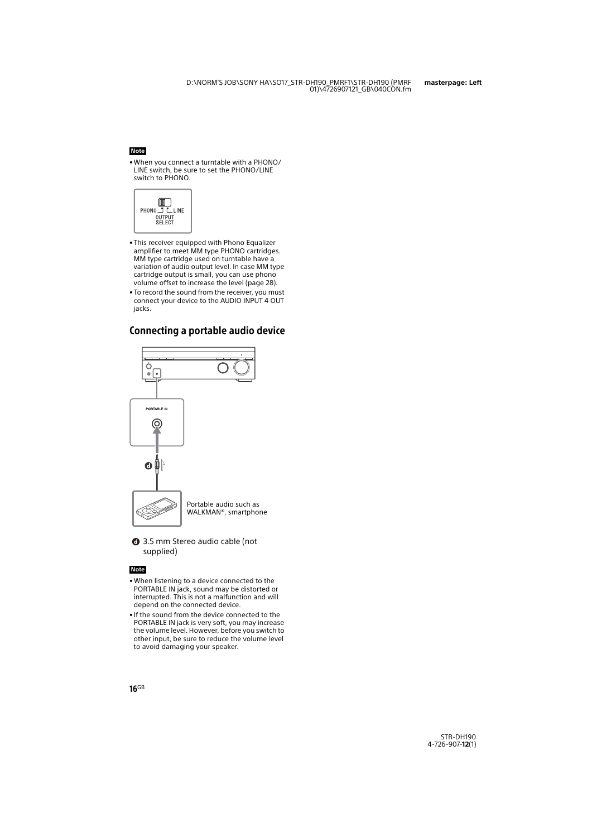#### **Note**

<span id="page-15-1"></span>• When you connect a turntable with a PHONO/ LINE switch, be sure to set the PHONO/LINE switch to PHONO.



- This receiver equipped with Phono Equalizer amplifier to meet MM type PHONO cartridges. MM type cartridge used on turntable have a variation of audio output level. In case MM type cartridge output is small, you can use phono volume offset to increase the level (page [28](#page-27-1)).
- To record the sound from the receiver, you must connect your device to the AUDIO INPUT 4 OUT iacks.

### <span id="page-15-0"></span>Connecting a portable audio device



3.5 mm Stereo audio cable (not supplied)

#### **Note**

- When listening to a device connected to the PORTABLE IN jack, sound may be distorted or interrupted. This is not a malfunction and will depend on the connected device.
- If the sound from the device connected to the PORTABLE IN jack is very soft, you may increase the volume level. However, before you switch to other input, be sure to reduce the volume level to avoid damaging your speaker.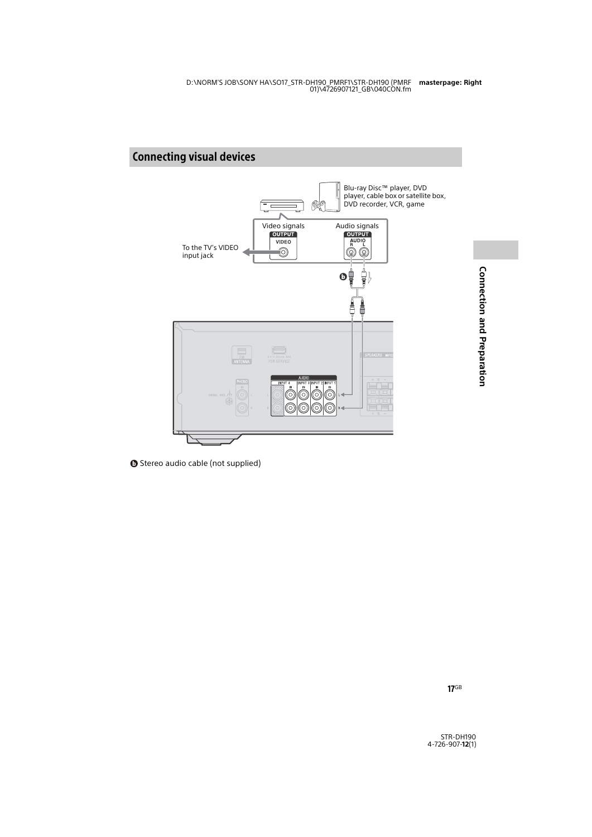### <span id="page-16-0"></span>Connecting visual devices



**O** Stereo audio cable (not supplied)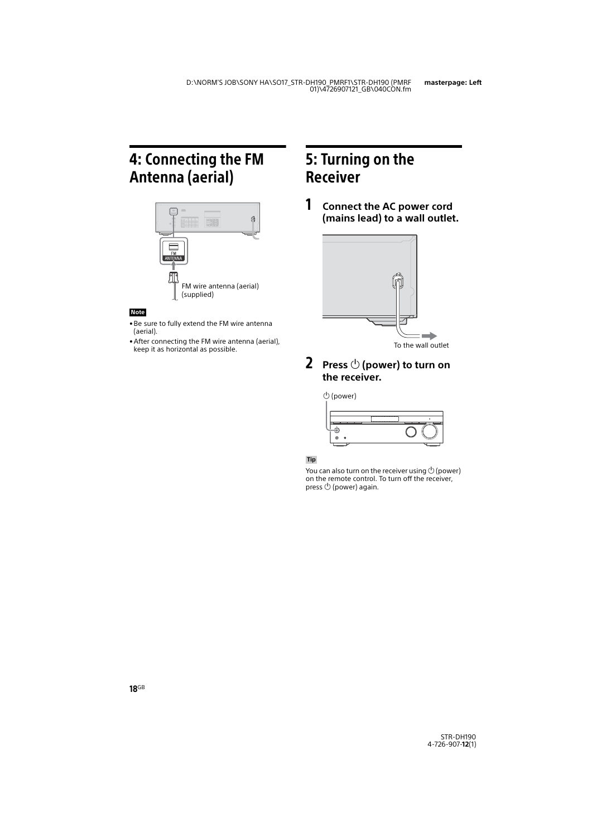# <span id="page-17-2"></span><span id="page-17-0"></span>4: Connecting the FM Antenna (aerial)



#### **Note**

- Be sure to fully extend the FM wire antenna (aerial).
- After connecting the FM wire antenna (aerial), keep it as horizontal as possible.

# <span id="page-17-1"></span>5: Turning on the Receiver

1 **Connect the AC power cord (mains lead) to a wall outlet.**



<span id="page-17-3"></span>**2** Press  $\circlearrowleft$  (power) to turn on **the receiver.**

(power)

#### **Tip**

You can also turn on the receiver using  $\circlearrowright$  (power) on the remote control. To turn off the receiver, press  $\bigcirc$  (power) again.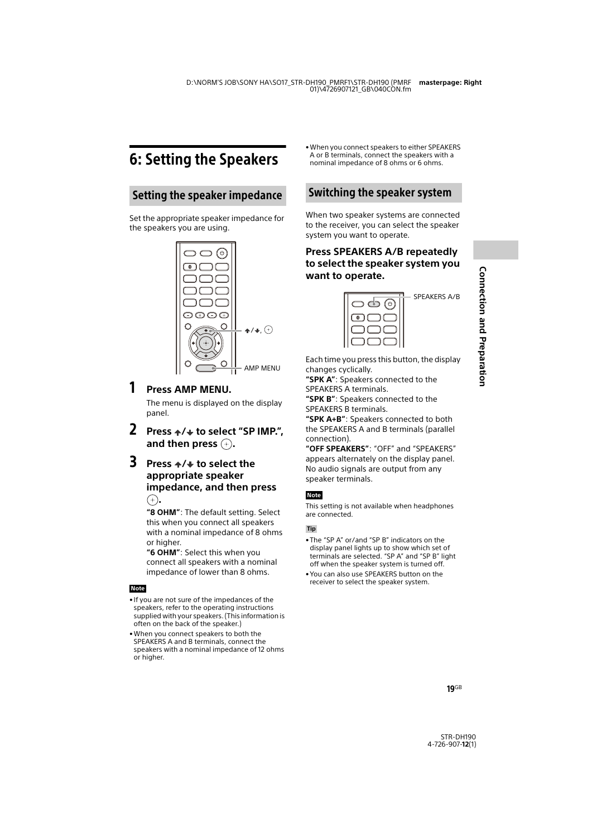# <span id="page-18-0"></span>6: Setting the Speakers

### <span id="page-18-5"></span>Setting the speaker impedance

Set the appropriate speaker impedance for the speakers you are using.



### 1 **Press AMP MENU.**

The menu is displayed on the display panel.

- **2 Press**  $\div$ **/**  $\div$  to select "SP IMP.", and then press  $\left( +\right)$ .
- **3** Press  $\star$ / $\star$  to select the **appropriate speaker impedance, and then press .**

**"8 OHM"**: The default setting. Select this when you connect all speakers with a nominal impedance of 8 ohms or higher.

**"6 OHM"**: Select this when you connect all speakers with a nominal impedance of lower than 8 ohms.

#### **Note**

- If you are not sure of the impedances of the speakers, refer to the operating instructions supplied with your speakers. (This information is often on the back of the speaker.)
- When you connect speakers to both the SPEAKERS A and B terminals, connect the speakers with a nominal impedance of 12 ohms or higher.

• When you connect speakers to either SPEAKERS A or B terminals, connect the speakers with a nominal impedance of 8 ohms or 6 ohms.

### <span id="page-18-4"></span>Switching the speaker system

When two speaker systems are connected to the receiver, you can select the speaker system you want to operate.

<span id="page-18-3"></span>**Press SPEAKERS A/B repeatedly to select the speaker system you want to operate.**



SPEAKERS A/B

Each time you press this button, the display changes cyclically.

**"SPK A"**: Speakers connected to the SPEAKERS A terminals.

**"SPK B"**: Speakers connected to the SPEAKERS B terminals.

**"SPK A+B"**: Speakers connected to both the SPEAKERS A and B terminals (parallel connection).

**"OFF SPEAKERS"**: "OFF" and "SPEAKERS" appears alternately on the display panel. No audio signals are output from any speaker terminals.

#### **Note**

This setting is not available when headphones are connected.

#### **Tip**

- <span id="page-18-2"></span>• The "SP A" or/and "SP B" indicators on the display panel lights up to show which set of terminals are selected. "SP A" and "SP B" light off when the speaker system is turned off.
- <span id="page-18-1"></span>• You can also use SPEAKERS button on the receiver to select the speaker system.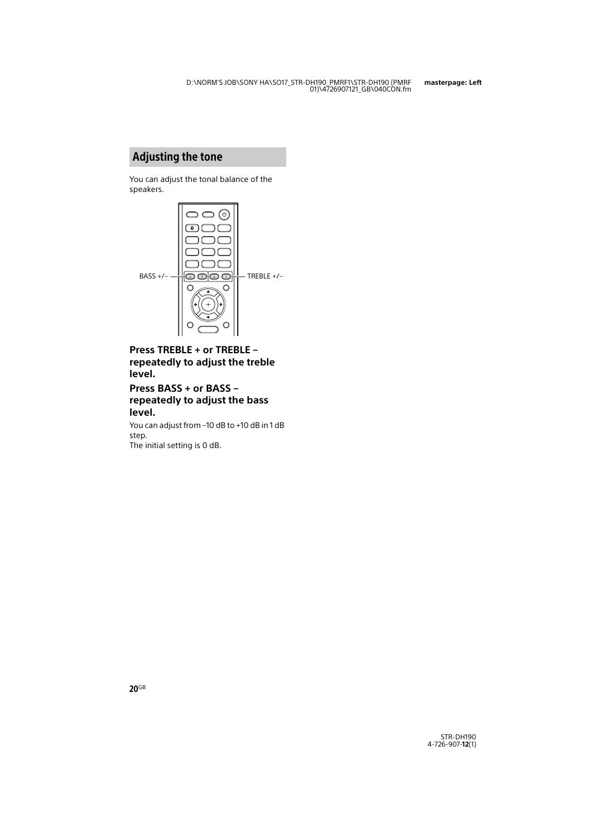### Adjusting the tone

You can adjust the tonal balance of the speakers.



<span id="page-19-1"></span>**Press TREBLE + or TREBLE – repeatedly to adjust the treble level.** 

### <span id="page-19-0"></span>**Press BASS + or BASS – repeatedly to adjust the bass level.**

You can adjust from –10 dB to +10 dB in 1 dB step.

The initial setting is 0 dB.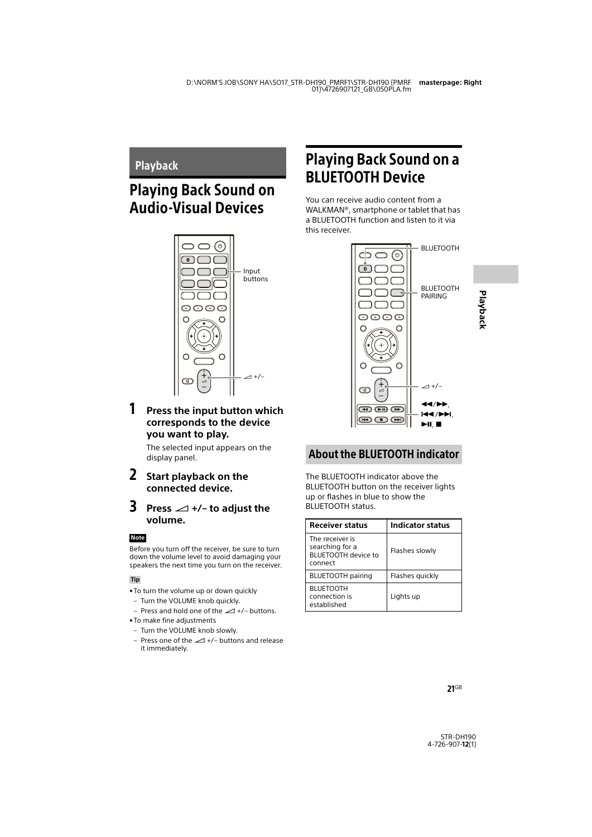### <span id="page-20-1"></span><span id="page-20-0"></span>Playback

# <span id="page-20-2"></span>Playing Back Sound on Audio-Visual Devices



### 1 **Press the input button which corresponds to the device you want to play.**

The selected input appears on the display panel.

### 2 **Start playback on the connected device.**

### **3** Press  $\angle$  +/- to adjust the **volume.**

#### **Note**

Before you turn off the receiver, be sure to turn down the volume level to avoid damaging your speakers the next time you turn on the receiver.

#### **Tip**

- <span id="page-20-6"></span>• To turn the volume up or down quickly
	- Turn the VOLUME knob quickly.
- Press and hold one of the  $\angle$  +/- buttons.
- To make fine adjustments
	- Turn the VOLUME knob slowly.
	- Press one of the  $\angle$  +/– buttons and release it immediately.

# <span id="page-20-4"></span><span id="page-20-3"></span>Playing Back Sound on a BLUETOOTH Device

You can receive audio content from a WALKMAN®, smartphone or tablet that has a BLUETOOTH function and listen to it via this receiver.



### <span id="page-20-5"></span>About the BLUETOOTH indicator

The BLUETOOTH indicator above the BLUETOOTH button on the receiver lights up or flashes in blue to show the BLUETOOTH status.

| <b>Receiver status</b>                                                      | <b>Indicator status</b> |
|-----------------------------------------------------------------------------|-------------------------|
| The receiver is<br>searching for a<br><b>BLUETOOTH device to</b><br>connect | Flashes slowly          |
| <b>BLUETOOTH</b> pairing                                                    | Flashes quickly         |
| <b>BLUETOOTH</b><br>connection is<br>established                            | Lights up               |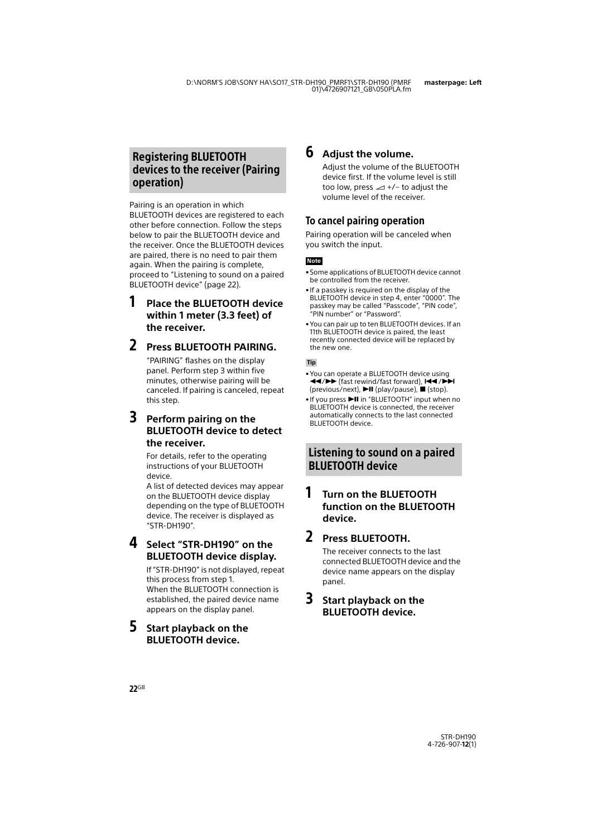### <span id="page-21-2"></span>Registering BLUETOOTH devices to the receiver (Pairing operation)

Pairing is an operation in which BLUETOOTH devices are registered to each other before connection. Follow the steps below to pair the BLUETOOTH device and the receiver. Once the BLUETOOTH devices are paired, there is no need to pair them again. When the pairing is complete, proceed to ["Listening to sound on a paired](#page-21-1)  [BLUETOOTH device" \(page 22\)](#page-21-1).

### 1 **Place the BLUETOOTH device within 1 meter (3.3 feet) of the receiver.**

### <span id="page-21-0"></span>2 **Press BLUETOOTH PAIRING.**

"PAIRING" flashes on the display panel. Perform step 3 within five minutes, otherwise pairing will be canceled. If pairing is canceled, repeat this step.

### 3 **Perform pairing on the BLUETOOTH device to detect the receiver.**

For details, refer to the operating instructions of your BLUETOOTH device.

A list of detected devices may appear on the BLUETOOTH device display depending on the type of BLUETOOTH device. The receiver is displayed as "STR-DH190".

### 4 **Select "STR-DH190" on the BLUETOOTH device display.**

If "STR-DH190" is not displayed, repeat this process from step 1. When the BLUETOOTH connection is established, the paired device name appears on the display panel.

### 5 **Start playback on the BLUETOOTH device.**

### 6 **Adjust the volume.**

Adjust the volume of the BLUETOOTH device first. If the volume level is still too low, press  $\angle$  +/- to adjust the volume level of the receiver.

### To cancel pairing operation

Pairing operation will be canceled when you switch the input.

#### **Note**

- Some applications of BLUETOOTH device cannot be controlled from the receiver.
- If a passkey is required on the display of the BLUETOOTH device in step 4, enter "0000". The passkey may be called "Passcode", "PIN code", "PIN number" or "Password".
- You can pair up to ten BLUETOOTH devices. If an 11th BLUETOOTH device is paired, the least recently connected device will be replaced by the new one.

#### **Tip**

- You can operate a BLUETOOTH device using 44/ $\blacktriangleright$  (fast rewind/fast forward),  $\blacktriangleright$   $\blacktriangleright$  / $\blacktriangleright$  /  $(previous/next)$ ,  $\nightharpoonup$ II (play/pause),  $\blacksquare$  (stop).
- If you press **II** in "BLUETOOTH" input when no BLUETOOTH device is connected, the receiver automatically connects to the last connected BLUETOOTH device.

### <span id="page-21-1"></span>Listening to sound on a paired BLUETOOTH device

### 1 **Turn on the BLUETOOTH function on the BLUETOOTH device.**

### 2 **Press BLUETOOTH.**

The receiver connects to the last connected BLUETOOTH device and the device name appears on the display panel.

### 3 **Start playback on the BLUETOOTH device.**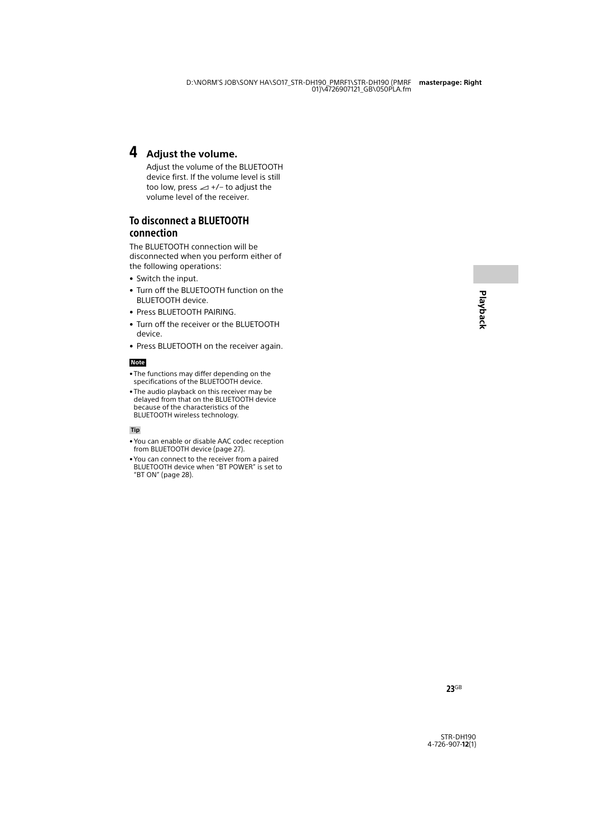### 4 **Adjust the volume.**

Adjust the volume of the BLUETOOTH device first. If the volume level is still too low, press  $\angle$  +/- to adjust the volume level of the receiver.

### To disconnect a BLUETOOTH connection

The BLUETOOTH connection will be disconnected when you perform either of the following operations:

- Switch the input.
- Turn off the BLUETOOTH function on the BLUETOOTH device.
- Press BLUETOOTH PAIRING.
- Turn off the receiver or the BLUETOOTH device.
- Press BLUETOOTH on the receiver again.

#### **Note**

- The functions may differ depending on the specifications of the BLUETOOTH device.
- The audio playback on this receiver may be delayed from that on the BLUETOOTH device because of the characteristics of the BLUETOOTH wireless technology.

#### **Tip**

- You can enable or disable AAC codec reception from BLUETOOTH device (page [27](#page-26-4)).
- You can connect to the receiver from a paired BLUETOOTH device when "BT POWER" is set to "BT ON" (page [28\)](#page-27-0).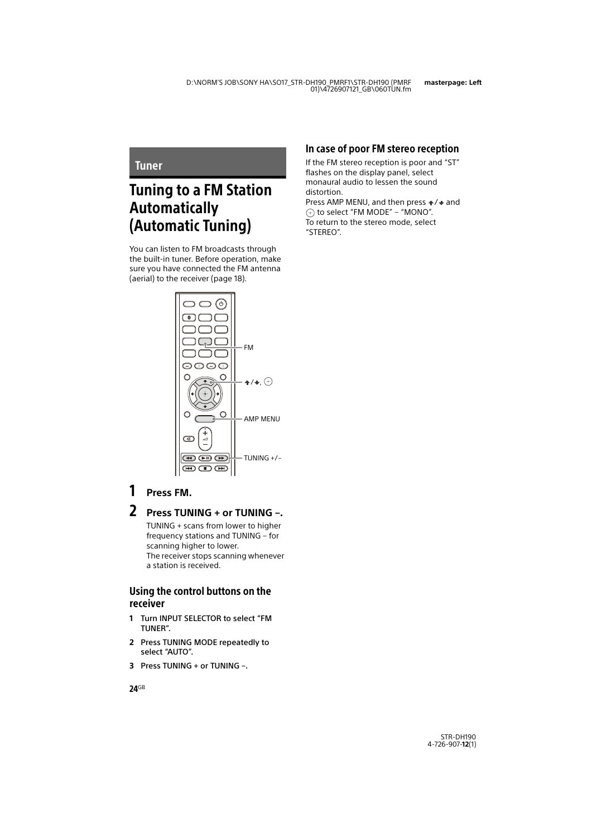### <span id="page-23-1"></span><span id="page-23-0"></span>**Tuner**

# <span id="page-23-2"></span>Tuning to a FM Station Automatically (Automatic Tuning)

You can listen to FM broadcasts through the built-in tuner. Before operation, make sure you have connected the FM antenna (aerial) to the receiver (page [18\)](#page-17-2).



### 1 **Press FM.**

### 2 **Press TUNING + or TUNING –.**

TUNING + scans from lower to higher frequency stations and TUNING – for scanning higher to lower. The receiver stops scanning whenever a station is received.

### Using the control buttons on the receiver

- **1** Turn INPUT SELECTOR to select "FM TUNER".
- <span id="page-23-3"></span>**2** Press TUNING MODE repeatedly to select "AUTO".
- <span id="page-23-4"></span>**3** Press TUNING + or TUNING –.

### In case of poor FM stereo reception

If the FM stereo reception is poor and "ST" flashes on the display panel, select monaural audio to lessen the sound distortion.

Press AMP MENU, and then press  $\div/\div$  and  $\textcircled{\tiny{\textcircled{\tiny{+}}}}$  to select "FM MODE" – "MONO". To return to the stereo mode, select "STEREO".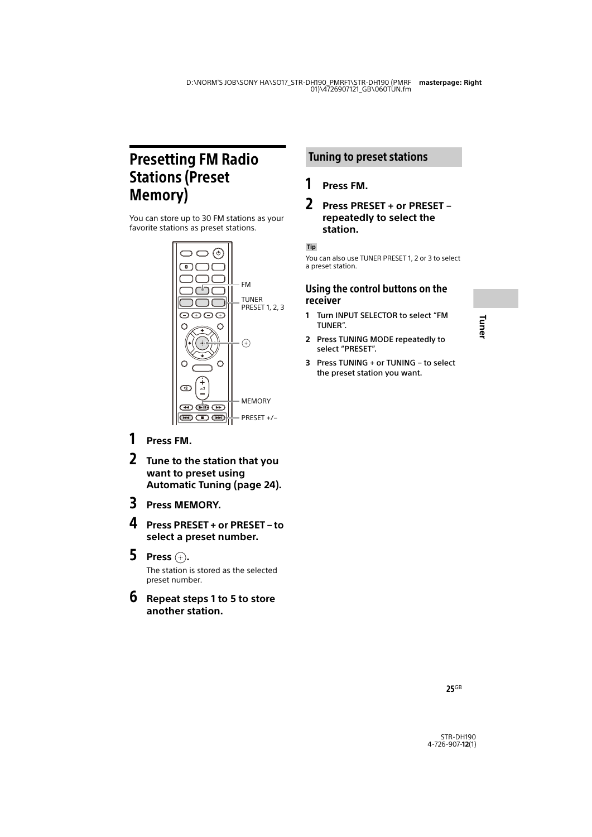# <span id="page-24-3"></span><span id="page-24-0"></span>Presetting FM Radio Stations (Preset Memory)

You can store up to 30 FM stations as your favorite stations as preset stations.



- 1 **Press FM.**
- 2 **Tune to the station that you want to preset using Automatic Tuning (page [24](#page-23-2)).**
- 3 **Press MEMORY.**
- 4 **Press PRESET + or PRESET to select a preset number.**
- 5 **Press .**

The station is stored as the selected preset number.

6 **Repeat steps 1 to 5 to store another station.**

### <span id="page-24-5"></span>Tuning to preset stations

### 1 **Press FM.**

### 2 **Press PRESET + or PRESET – repeatedly to select the station.**

#### **Tip**

<span id="page-24-4"></span>You can also use TUNER PRESET 1, 2 or 3 to select a preset station.

### Using the control buttons on the receiver

- **1** Turn INPUT SELECTOR to select "FM TUNER".
- <span id="page-24-1"></span>**2** Press TUNING MODE repeatedly to select "PRESET".
- <span id="page-24-2"></span>**3** Press TUNING + or TUNING – to select the preset station you want.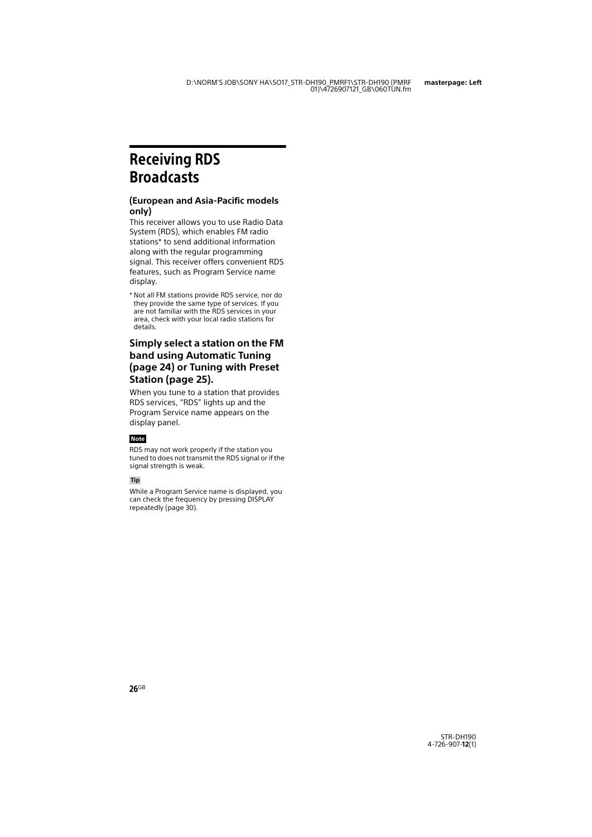# <span id="page-25-1"></span><span id="page-25-0"></span>Receiving RDS **Broadcasts**

#### **(European and Asia-Pacific models only)**

This receiver allows you to use Radio Data System (RDS), which enables FM radio stations\* to send additional information along with the regular programming signal. This receiver offers convenient RDS features, such as Program Service name display.

\* Not all FM stations provide RDS service, nor do they provide the same type of services. If you are not familiar with the RDS services in your area, check with your local radio stations for details.

### **Simply select a station on the FM band using Automatic Tuning (page [24](#page-23-2)) or Tuning with Preset Station (page [25\)](#page-24-5).**

When you tune to a station that provides RDS services, "RDS" lights up and the Program Service name appears on the display panel.

#### **Note**

RDS may not work properly if the station you tuned to does not transmit the RDS signal or if the signal strength is weak.

#### **Tip**

While a Program Service name is displayed, you can check the frequency by pressing DISPLAY repeatedly (page [30\)](#page-29-2).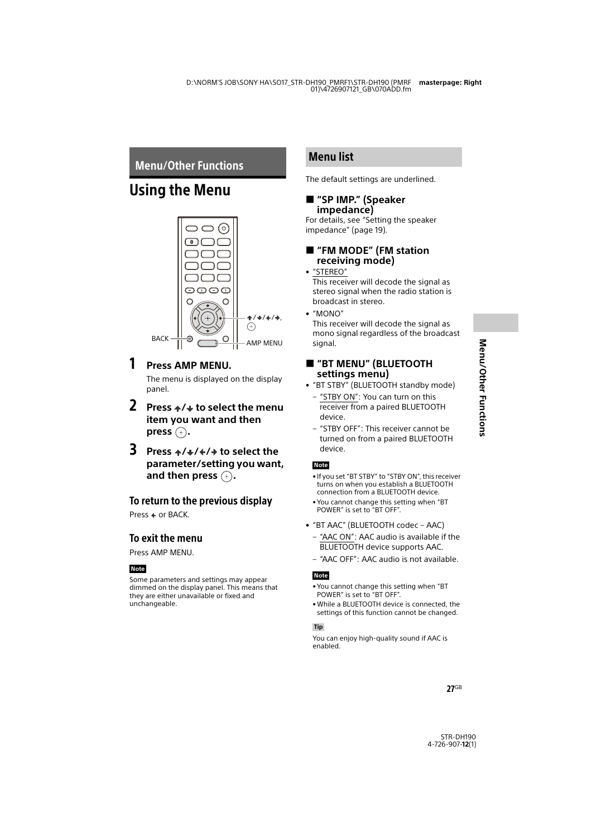### <span id="page-26-7"></span><span id="page-26-1"></span><span id="page-26-0"></span>Menu/Other Functions

## <span id="page-26-2"></span>Using the Menu



### 1 **Press AMP MENU.**

The menu is displayed on the display panel.

- **2** Press  $\div/\div$  to select the menu **item you want and then**   $pres$  $(+)$ .
- **3** Press  $\div/\div/\div/\div$  to select the **parameter/setting you want,**  and then press  $\left( \cdot \right)$ .

### To return to the previous display

Press  $\div$  or BACK.

### To exit the menu

Press AMP MENU.

#### **Note**

Some parameters and settings may appear dimmed on the display panel. This means that they are either unavailable or fixed and unchangeable.

### Menu list

The default settings are underlined.

### <span id="page-26-8"></span> **"SP IMP." (Speaker impedance)**

For details, see "Setting the speaker impedance" (page [19](#page-18-5)).

### <span id="page-26-6"></span> **"FM MODE" (FM station receiving mode)**

#### • "STEREO"

This receiver will decode the signal as stereo signal when the radio station is broadcast in stereo.

• "MONO"

This receiver will decode the signal as mono signal regardless of the broadcast signal.

### <span id="page-26-5"></span> **"BT MENU" (BLUETOOTH settings menu)**

- <span id="page-26-3"></span>• "BT STBY" (BLUETOOTH standby mode)
	- "STBY ON": You can turn on this receiver from a paired BLUETOOTH device.
	- "STBY OFF": This receiver cannot be turned on from a paired BLUETOOTH device.

#### **Note**

- If you set "BT STBY" to "STBY ON", this receiver turns on when you establish a BLUETOOTH connection from a BLUETOOTH device.
- You cannot change this setting when "BT POWER" is set to "BT OFF".
- <span id="page-26-4"></span>• "BT AAC" (BLUETOOTH codec – AAC)
	- "AAC ON": AAC audio is available if the BLUETOOTH device supports AAC.
	- "AAC OFF": AAC audio is not available.

#### **Note**

- You cannot change this setting when "BT POWER" is set to "BT OFF".
- While a BLUETOOTH device is connected, the settings of this function cannot be changed.

#### **Tip**

You can enjoy high-quality sound if AAC is enabled.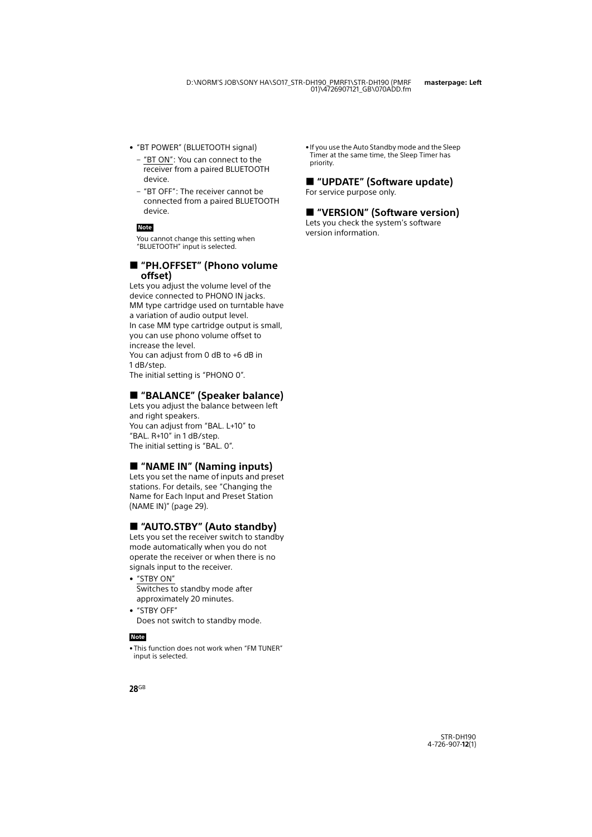- <span id="page-27-0"></span>• "BT POWER" (BLUETOOTH signal)
	- "BT ON": You can connect to the receiver from a paired BLUETOOTH device.
	- "BT OFF": The receiver cannot be connected from a paired BLUETOOTH device.

You cannot change this setting when "BLUETOOTH" input is selected.

#### <span id="page-27-1"></span> **"PH.OFFSET" (Phono volume offset)**

Lets you adjust the volume level of the device connected to PHONO IN jacks. MM type cartridge used on turntable have a variation of audio output level. In case MM type cartridge output is small, you can use phono volume offset to increase the level.

You can adjust from 0 dB to +6 dB in 1 dB/step.

The initial setting is "PHONO 0".

### <span id="page-27-4"></span>**"BALANCE" (Speaker balance)**

Lets you adjust the balance between left and right speakers. You can adjust from "BAL. L+10" to "BAL. R+10" in 1 dB/step. The initial setting is "BAL. 0".

### <span id="page-27-5"></span>**"NAME IN" (Naming inputs)**

Lets you set the name of inputs and preset stations. For details, see ["Changing the](#page-28-1)  [Name for Each Input and Preset Station](#page-28-1)  [\(NAME IN\)" \(page 29\)](#page-28-1).

### <span id="page-27-3"></span><span id="page-27-2"></span>**"AUTO.STBY" (Auto standby)**

Lets you set the receiver switch to standby mode automatically when you do not operate the receiver or when there is no signals input to the receiver.

- "STBY ON" Switches to standby mode after approximately 20 minutes.
- "STBY OFF" Does not switch to standby mode.

#### **Note**

• This function does not work when "FM TUNER" input is selected.

• If you use the Auto Standby mode and the Sleep Timer at the same time, the Sleep Timer has priority.

### <span id="page-27-6"></span>**"UPDATE" (Software update)**

For service purpose only.

### <span id="page-27-7"></span>**"VERSION" (Software version)**

Lets you check the system's software version information. **Note**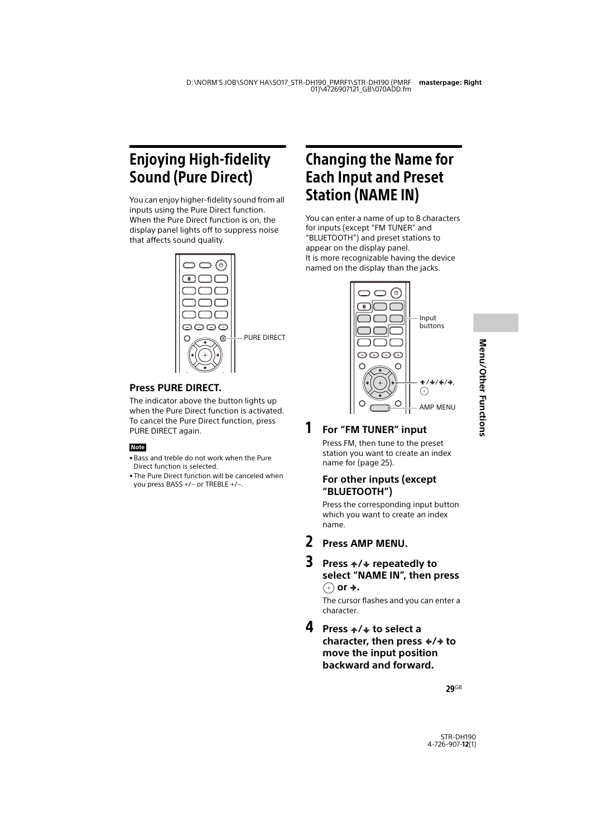# <span id="page-28-4"></span><span id="page-28-0"></span>Enjoying High-fidelity Sound (Pure Direct)

You can enjoy higher-fidelity sound from all inputs using the Pure Direct function. When the Pure Direct function is on, the display panel lights off to suppress noise that affects sound quality.



### <span id="page-28-2"></span>**Press PURE DIRECT.**

The indicator above the button lights up when the Pure Direct function is activated. To cancel the Pure Direct function, press PURE DIRECT again.

#### **Note**

- Bass and treble do not work when the Pure Direct function is selected.
- The Pure Direct function will be canceled when you press BASS +/– or TREBLE +/–.

# <span id="page-28-3"></span><span id="page-28-1"></span>Changing the Name for Each Input and Preset Station (NAME IN)

You can enter a name of up to 8 characters for inputs (except "FM TUNER" and "BLUETOOTH") and preset stations to appear on the display panel. It is more recognizable having the device named on the display than the jacks.



# Menu/Other Functions **Menu/Other Functions**

# 1 **For "FM TUNER" input**

Press FM, then tune to the preset station you want to create an index name for (page [25\)](#page-24-3).

### **For other inputs (except "BLUETOOTH")**

Press the corresponding input button which you want to create an index name.

- 2 **Press AMP MENU.**
- 3 **Press / repeatedly to select "NAME IN", then press**   $\oplus$  or  $\rightarrow$ .

The cursor flashes and you can enter a character.

4 Press  $\leftrightarrow$  to select a **character, then press**  $\div/\div$  **to move the input position backward and forward.**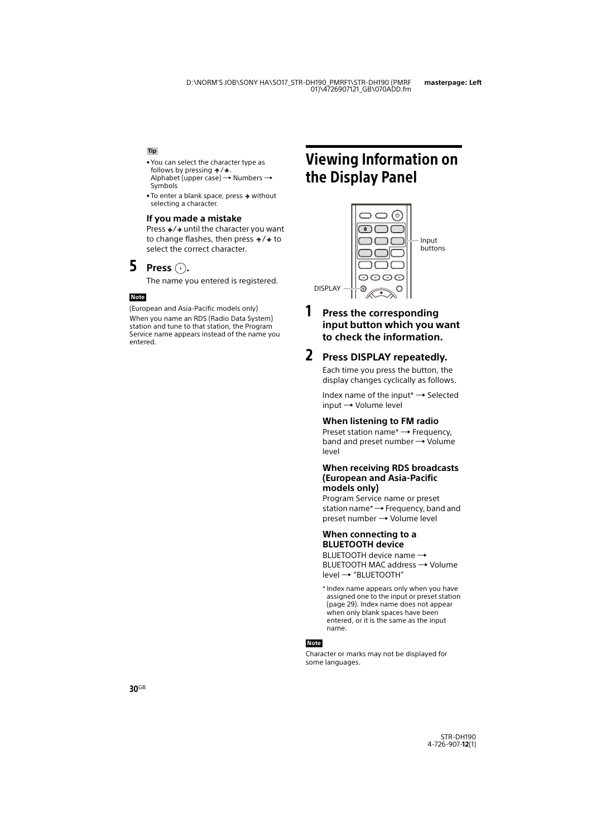#### **Tip**

- You can select the character type as follows by pressing  $\div/\bigarrow$ . Alphabet (upper case)  $\rightarrow$  Numbers  $\rightarrow$ Symbols
- $\bullet$  To enter a blank space, press  $\bullet$  without selecting a character.

#### **If you made a mistake**

Press  $\div/\div$  until the character you want to change flashes, then press  $\div/\div$  to select the correct character.

### **5 Press**  $\oplus$ .

The name you entered is registered.

#### **Note**

(European and Asia-Pacific models only) When you name an RDS (Radio Data System) station and tune to that station, the Program Service name appears instead of the name you entered.

# <span id="page-29-2"></span><span id="page-29-0"></span>Viewing Information on the Display Panel



buttons

### 1 **Press the corresponding input button which you want to check the information.**

### <span id="page-29-1"></span>2 **Press DISPLAY repeatedly.**

Each time you press the button, the display changes cyclically as follows.

Index name of the input\*  $\rightarrow$  Selected  $input \rightarrow Volume$  level

#### **When listening to FM radio**

Preset station name<sup>\*</sup>  $\rightarrow$  Frequency, band and preset number  $\rightarrow$  Volume level

#### **When receiving RDS broadcasts (European and Asia-Pacific models only)**

Program Service name or preset station name<sup> $\star \rightarrow$ </sup> Frequency, band and preset number Volume level

#### **When connecting to a BLUETOOTH device**

BLUETOOTH device name  $\rightarrow$ BLUETOOTH MAC address  $\rightarrow$  Volume level → "BLUFTOOTH"

\* Index name appears only when you have assigned one to the input or preset station (page [29\)](#page-28-1). Index name does not appear when only blank spaces have been entered, or it is the same as the input name.

#### **Note**

Character or marks may not be displayed for some languages.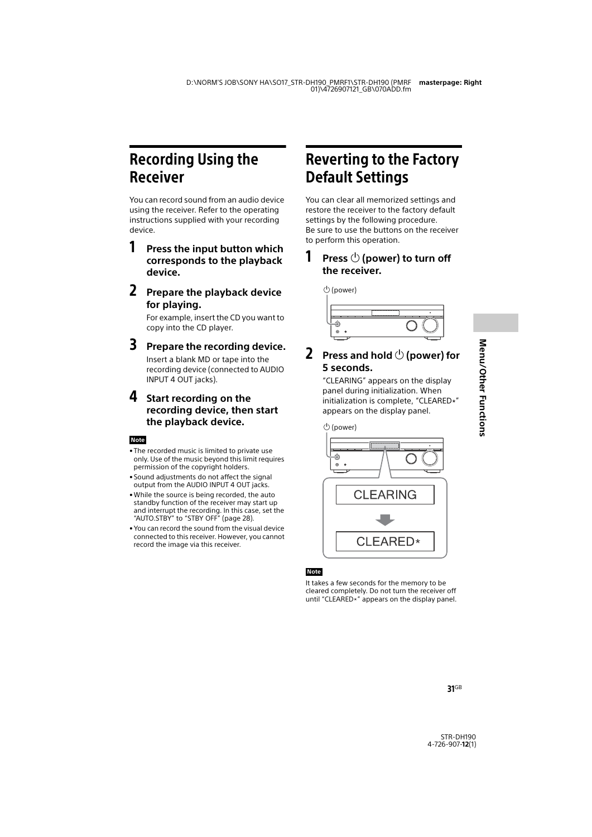# <span id="page-30-0"></span>Recording Using the Receiver

You can record sound from an audio device using the receiver. Refer to the operating instructions supplied with your recording device.

### <span id="page-30-3"></span>1 **Press the input button which corresponds to the playback device.**

2 **Prepare the playback device for playing.**

> For example, insert the CD you want to copy into the CD player.

### 3 **Prepare the recording device.**

Insert a blank MD or tape into the recording device (connected to AUDIO INPUT 4 OUT jacks).

### 4 **Start recording on the recording device, then start the playback device.**

#### **Note**

- The recorded music is limited to private use only. Use of the music beyond this limit requires permission of the copyright holders.
- Sound adjustments do not affect the signal output from the AUDIO INPUT 4 OUT jacks.
- While the source is being recorded, the auto standby function of the receiver may start up and interrupt the recording. In this case, set the "AUTO.STBY" to "STBY OFF" (page [28\)](#page-27-2).
- You can record the sound from the visual device connected to this receiver. However, you cannot record the image via this receiver.

# <span id="page-30-2"></span><span id="page-30-1"></span>Reverting to the Factory Default Settings

You can clear all memorized settings and restore the receiver to the factory default settings by the following procedure. Be sure to use the buttons on the receiver to perform this operation.

### **1** Press  $\bigcirc$  (power) to turn off **the receiver.**



### **2** Press and hold  $\bigcirc$  (power) for **5 seconds.**

"CLEARING" appears on the display panel during initialization. When initialization is complete, "CLEARED\*" appears on the display panel.



### **Note**

It takes a few seconds for the memory to be cleared completely. Do not turn the receiver off until "CLEARED $*$ " appears on the display panel.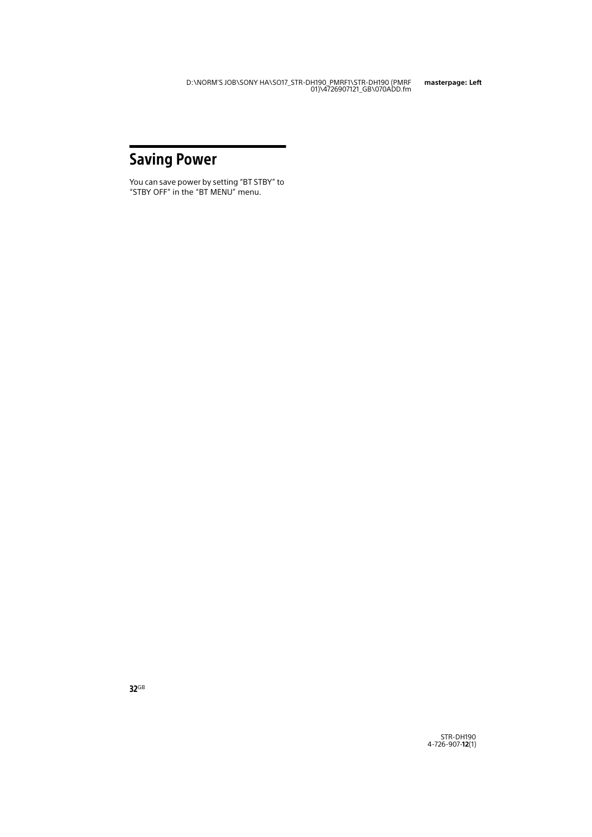# <span id="page-31-1"></span><span id="page-31-0"></span>Saving Power

You can save power by setting "BT STBY" to "STBY OFF" in the "BT MENU" menu.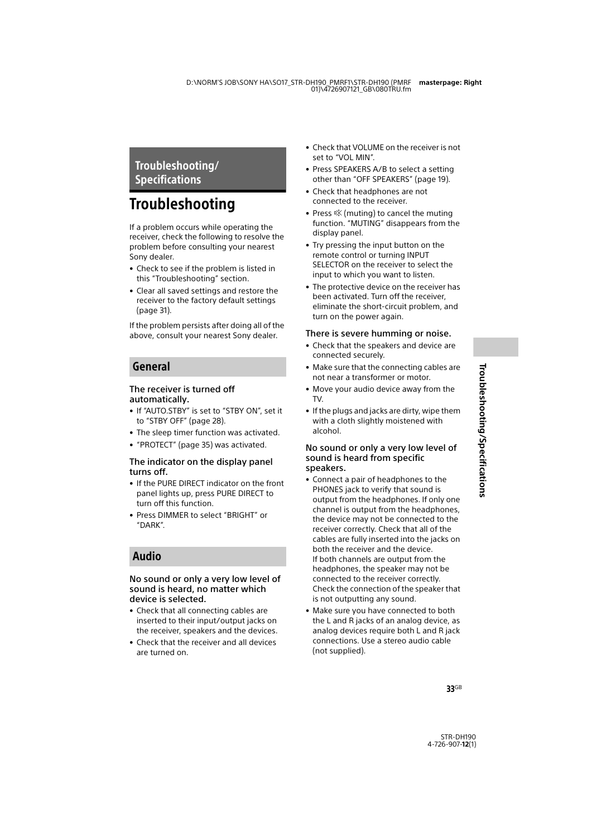### <span id="page-32-1"></span><span id="page-32-0"></span>Troubleshooting/ Specifications

# <span id="page-32-2"></span>**Troubleshooting**

If a problem occurs while operating the receiver, check the following to resolve the problem before consulting your nearest Sony dealer.

- Check to see if the problem is listed in this "Troubleshooting" section.
- Clear all saved settings and restore the receiver to the factory default settings [\(page 31\).](#page-30-2)

If the problem persists after doing all of the above, consult your nearest Sony dealer.

### General

#### The receiver is turned off automatically.

- If "AUTO.STBY" is set to "STBY ON", set it to "STBY OFF" (page [28\)](#page-27-3).
- The sleep timer function was activated.
- "PROTECT" [\(page 35\)](#page-34-0) was activated.

#### The indicator on the display panel turns off.

- If the PURE DIRECT indicator on the front panel lights up, press PURE DIRECT to turn off this function.
- Press DIMMER to select "BRIGHT" or "DARK".

### Audio

#### No sound or only a very low level of sound is heard, no matter which device is selected.

- Check that all connecting cables are inserted to their input/output jacks on the receiver, speakers and the devices.
- Check that the receiver and all devices are turned on.
- Check that VOLUME on the receiver is not set to "VOL MIN".
- Press SPEAKERS A/B to select a setting other than "OFF SPEAKERS" (page [19\)](#page-18-3).
- Check that headphones are not connected to the receiver.
- Press  $\mathbb K$  (muting) to cancel the muting function. "MUTING" disappears from the display panel.
- Try pressing the input button on the remote control or turning INPUT SELECTOR on the receiver to select the input to which you want to listen.
- The protective device on the receiver has been activated. Turn off the receiver, eliminate the short-circuit problem, and turn on the power again.

#### There is severe humming or noise.

- Check that the speakers and device are connected securely.
- Make sure that the connecting cables are not near a transformer or motor.
- Move your audio device away from the TV.
- If the plugs and jacks are dirty, wipe them with a cloth slightly moistened with alcohol.

#### No sound or only a very low level of sound is heard from specific speakers.

- Connect a pair of headphones to the PHONES jack to verify that sound is output from the headphones. If only one channel is output from the headphones, the device may not be connected to the receiver correctly. Check that all of the cables are fully inserted into the jacks on both the receiver and the device. If both channels are output from the headphones, the speaker may not be connected to the receiver correctly. Check the connection of the speaker that is not outputting any sound.
- Make sure you have connected to both the L and R jacks of an analog device, as analog devices require both L and R jack connections. Use a stereo audio cable (not supplied).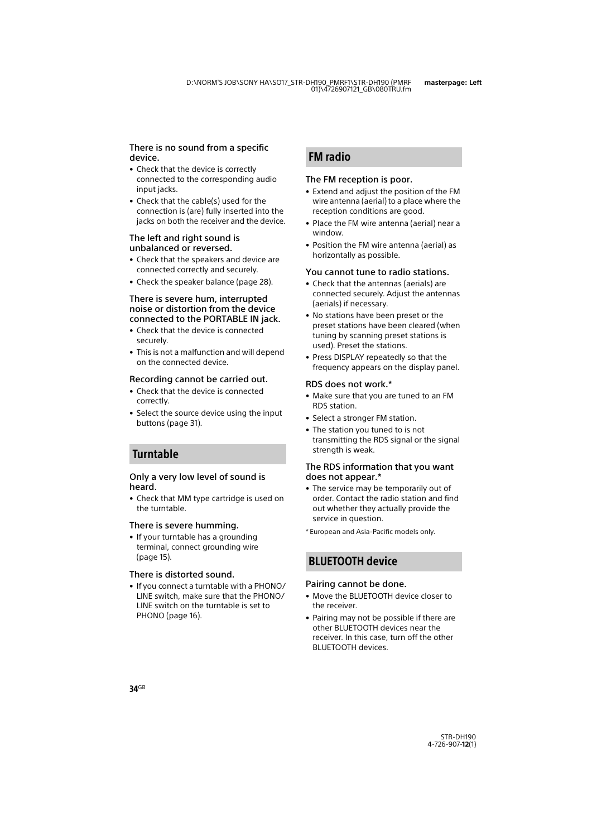#### There is no sound from a specific device.

- Check that the device is correctly connected to the corresponding audio input jacks.
- Check that the cable(s) used for the connection is (are) fully inserted into the jacks on both the receiver and the device.

#### The left and right sound is unbalanced or reversed.

- Check that the speakers and device are connected correctly and securely.
- Check the speaker balance (page [28](#page-27-4)).

#### There is severe hum, interrupted noise or distortion from the device connected to the PORTABLE IN jack.

- Check that the device is connected securely.
- This is not a malfunction and will depend on the connected device.

#### Recording cannot be carried out.

- Check that the device is connected correctly.
- Select the source device using the input buttons (page [31\)](#page-30-3).

### Turntable

#### Only a very low level of sound is heard.

• Check that MM type cartridge is used on the turntable.

#### There is severe humming.

• If your turntable has a grounding terminal, connect grounding wire (page [15](#page-14-1)).

#### There is distorted sound.

• If you connect a turntable with a PHONO/ LINE switch, make sure that the PHONO/ LINE switch on the turntable is set to PHONO (page [16\)](#page-15-1).

### FM radio

#### The FM reception is poor.

- Extend and adjust the position of the FM wire antenna (aerial) to a place where the reception conditions are good.
- Place the FM wire antenna (aerial) near a window.
- Position the FM wire antenna (aerial) as horizontally as possible.

#### You cannot tune to radio stations.

- Check that the antennas (aerials) are connected securely. Adjust the antennas (aerials) if necessary.
- No stations have been preset or the preset stations have been cleared (when tuning by scanning preset stations is used). Preset the stations.
- Press DISPLAY repeatedly so that the frequency appears on the display panel.

#### RDS does not work.\*

- Make sure that you are tuned to an FM RDS station.
- Select a stronger FM station.
- The station you tuned to is not transmitting the RDS signal or the signal strength is weak.

#### The RDS information that you want does not appear.\*

- The service may be temporarily out of order. Contact the radio station and find out whether they actually provide the service in question.
- \* European and Asia-Pacific models only.

### BLUETOOTH device

#### Pairing cannot be done.

- Move the BLUETOOTH device closer to the receiver.
- Pairing may not be possible if there are other BLUETOOTH devices near the receiver. In this case, turn off the other BLUETOOTH devices.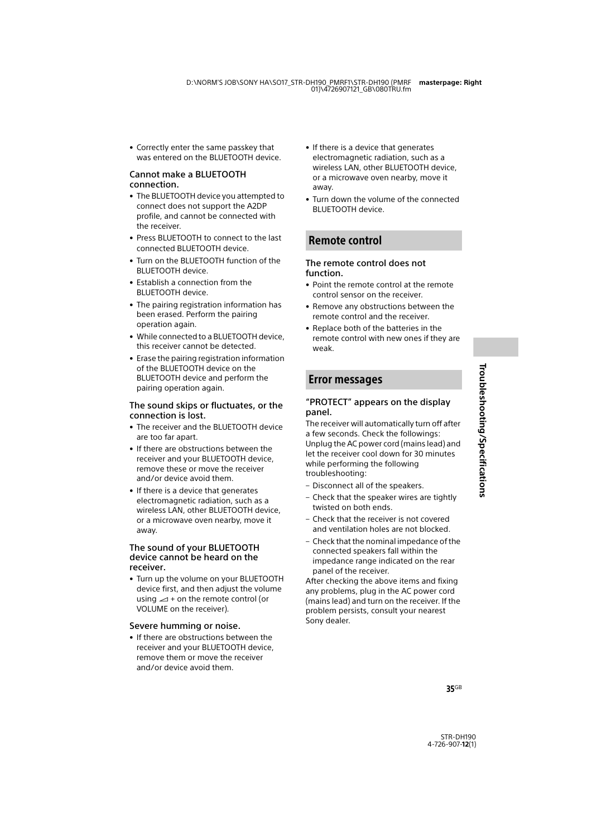• Correctly enter the same passkey that was entered on the BLUETOOTH device.

#### Cannot make a BLUETOOTH connection.

- The BLUETOOTH device you attempted to connect does not support the A2DP profile, and cannot be connected with the receiver.
- Press BLUETOOTH to connect to the last connected BLUETOOTH device.
- Turn on the BLUETOOTH function of the BLUETOOTH device.
- Establish a connection from the BLUETOOTH device.
- The pairing registration information has been erased. Perform the pairing operation again.
- While connected to a BLUETOOTH device, this receiver cannot be detected.
- Erase the pairing registration information of the BLUETOOTH device on the BLUETOOTH device and perform the pairing operation again.

#### The sound skips or fluctuates, or the connection is lost.

- The receiver and the BLUETOOTH device are too far apart.
- If there are obstructions between the receiver and your BLUETOOTH device, remove these or move the receiver and/or device avoid them.
- If there is a device that generates electromagnetic radiation, such as a wireless LAN, other BLUETOOTH device, or a microwave oven nearby, move it away.

#### The sound of your BLUETOOTH device cannot be heard on the receiver.

• Turn up the volume on your BLUETOOTH device first, and then adjust the volume using  $\angle$  + on the remote control (or VOLUME on the receiver).

#### Severe humming or noise.

• If there are obstructions between the receiver and your BLUETOOTH device, remove them or move the receiver and/or device avoid them.

- If there is a device that generates electromagnetic radiation, such as a wireless LAN, other BLUETOOTH device, or a microwave oven nearby, move it away.
- Turn down the volume of the connected BLUETOOTH device.

### Remote control

#### The remote control does not function.

- Point the remote control at the remote control sensor on the receiver.
- Remove any obstructions between the remote control and the receiver.
- Replace both of the batteries in the remote control with new ones if they are weak.

### <span id="page-34-1"></span>Error messages

#### <span id="page-34-0"></span>"PROTECT" appears on the display panel.

The receiver will automatically turn off after a few seconds. Check the followings: Unplug the AC power cord (mains lead) and let the receiver cool down for 30 minutes while performing the following troubleshooting:

- Disconnect all of the speakers.
- Check that the speaker wires are tightly twisted on both ends.
- Check that the receiver is not covered and ventilation holes are not blocked.
- Check that the nominal impedance of the connected speakers fall within the impedance range indicated on the rear panel of the receiver.

After checking the above items and fixing any problems, plug in the AC power cord (mains lead) and turn on the receiver. If the problem persists, consult your nearest Sony dealer.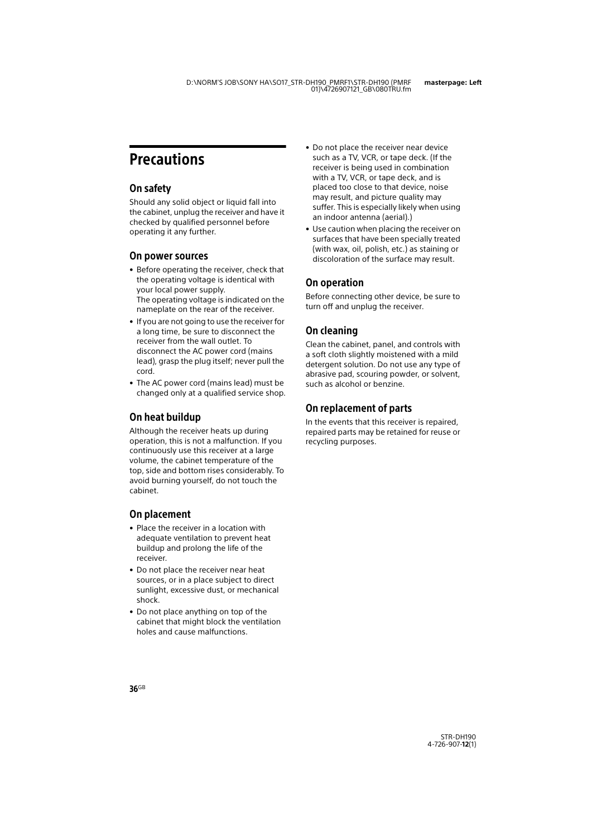# <span id="page-35-0"></span>**Precautions**

### On safety

Should any solid object or liquid fall into the cabinet, unplug the receiver and have it checked by qualified personnel before operating it any further.

### On power sources

- Before operating the receiver, check that the operating voltage is identical with your local power supply. The operating voltage is indicated on the nameplate on the rear of the receiver.
- If you are not going to use the receiver for a long time, be sure to disconnect the receiver from the wall outlet. To disconnect the AC power cord (mains lead), grasp the plug itself; never pull the cord.
- The AC power cord (mains lead) must be changed only at a qualified service shop.

### On heat buildup

Although the receiver heats up during operation, this is not a malfunction. If you continuously use this receiver at a large volume, the cabinet temperature of the top, side and bottom rises considerably. To avoid burning yourself, do not touch the cabinet.

### On placement

- Place the receiver in a location with adequate ventilation to prevent heat buildup and prolong the life of the receiver.
- Do not place the receiver near heat sources, or in a place subject to direct sunlight, excessive dust, or mechanical shock.
- Do not place anything on top of the cabinet that might block the ventilation holes and cause malfunctions.
- Do not place the receiver near device such as a TV, VCR, or tape deck. (If the receiver is being used in combination with a TV, VCR, or tape deck, and is placed too close to that device, noise may result, and picture quality may suffer. This is especially likely when using an indoor antenna (aerial).)
- Use caution when placing the receiver on surfaces that have been specially treated (with wax, oil, polish, etc.) as staining or discoloration of the surface may result.

### On operation

Before connecting other device, be sure to turn off and unplug the receiver.

### On cleaning

Clean the cabinet, panel, and controls with a soft cloth slightly moistened with a mild detergent solution. Do not use any type of abrasive pad, scouring powder, or solvent, such as alcohol or benzine.

### On replacement of parts

In the events that this receiver is repaired, repaired parts may be retained for reuse or recycling purposes.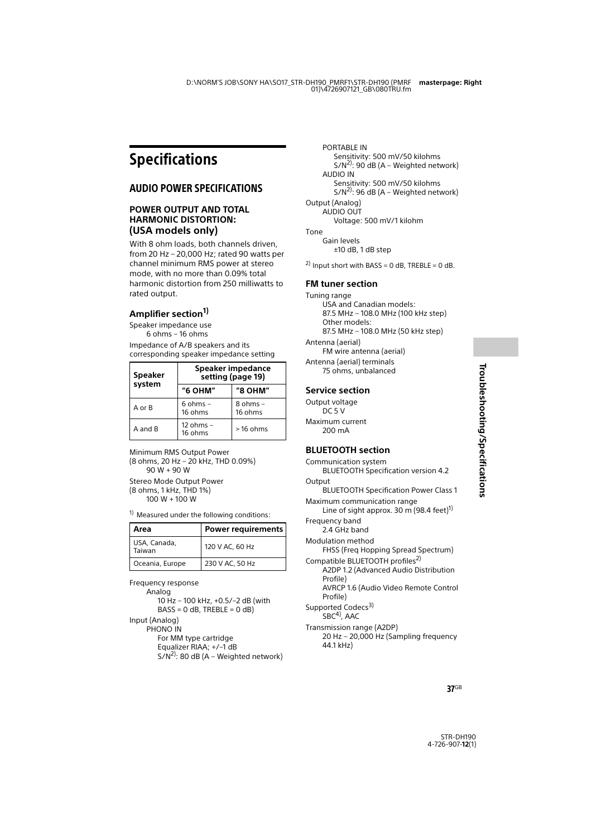# <span id="page-36-0"></span>Specifications

### AUDIO POWER SPECIFICATIONS

#### **POWER OUTPUT AND TOTAL HARMONIC DISTORTION: (USA models only)**

With 8 ohm loads, both channels driven, from 20 Hz – 20,000 Hz; rated 90 watts per channel minimum RMS power at stereo mode, with no more than 0.09% total harmonic distortion from 250 milliwatts to rated output.

### **Amplifier section1)**

Speaker impedance use 6 ohms – 16 ohms

Impedance of A/B speakers and its corresponding speaker impedance setting

| <b>Speaker</b><br>system | Speaker impedance<br>setting (page 19) |                         |
|--------------------------|----------------------------------------|-------------------------|
|                          | "6 OHM"                                | "8 OHM"                 |
| A or B                   | $6 \text{ ohms}$ –<br>16 ohms          | $8$ ohms $-$<br>16 ohms |
| A and B                  | $12 ohms -$<br>16 ohms                 | $>16$ ohms              |

Minimum RMS Output Power (8 ohms, 20 Hz – 20 kHz, THD 0.09%) 90 W + 90 W Stereo Mode Output Power (8 ohms, 1 kHz, THD 1%) 100 W + 100 W

 $1)$  Measured under the following conditions:

| Area                   | Power requirements |
|------------------------|--------------------|
| USA, Canada,<br>Taiwan | 120 V AC, 60 Hz    |
| Oceania, Europe        | 230 V AC, 50 Hz    |

Frequency response

Analog

10 Hz – 100 kHz, +0.5/–2 dB (with  $BASS = 0$  dB, TREBLE = 0 dB) Input (Analog)

PHONO IN

For MM type cartridge Equalizer RIAA; +/–1 dB  $S/N^{2}$ : 80 dB (A – Weighted network)

PORTABLE IN Sensitivity: 500 mV/50 kilohms  $S/N^{2}$ : 90 dB (A – Weighted network) AUDIO IN Sensitivity: 500 mV/50 kilohms  $S/N^{2}$ : 96 dB (A – Weighted network) Output (Analog) AUDIO OUT Voltage: 500 mV/1 kilohm Tone

Gain levels ±10 dB, 1 dB step

<sup>2)</sup> Input short with BASS = 0 dB, TREBLE = 0 dB.

#### **FM tuner section**

Tuning range USA and Canadian models: 87.5 MHz – 108.0 MHz (100 kHz step) Other models: 87.5 MHz – 108.0 MHz (50 kHz step) Antenna (aerial) FM wire antenna (aerial) Antenna (aerial) terminals

75 ohms, unbalanced

#### **Service section**

Output voltage  $DC 5 V$ Maximum current 200 mA

#### <span id="page-36-1"></span>**BLUETOOTH section**

<span id="page-36-3"></span><span id="page-36-2"></span>Communication system BLUETOOTH Specification version 4.2 **Output** BLUETOOTH Specification Power Class 1 Maximum communication range Line of sight approx. 30 m  $(98.4 \text{ feet})^1$ Frequency band 2.4 GHz band Modulation method FHSS (Freq Hopping Spread Spectrum) Compatible BLUETOOTH profiles<sup>2)</sup> A2DP 1.2 (Advanced Audio Distribution Profile) AVRCP 1.6 (Audio Video Remote Control Profile) Supported Codecs<sup>3)</sup>  $SBC<sup>4</sup>$ , AAC Transmission range (A2DP) 20 Hz – 20,000 Hz (Sampling frequency 44.1 kHz)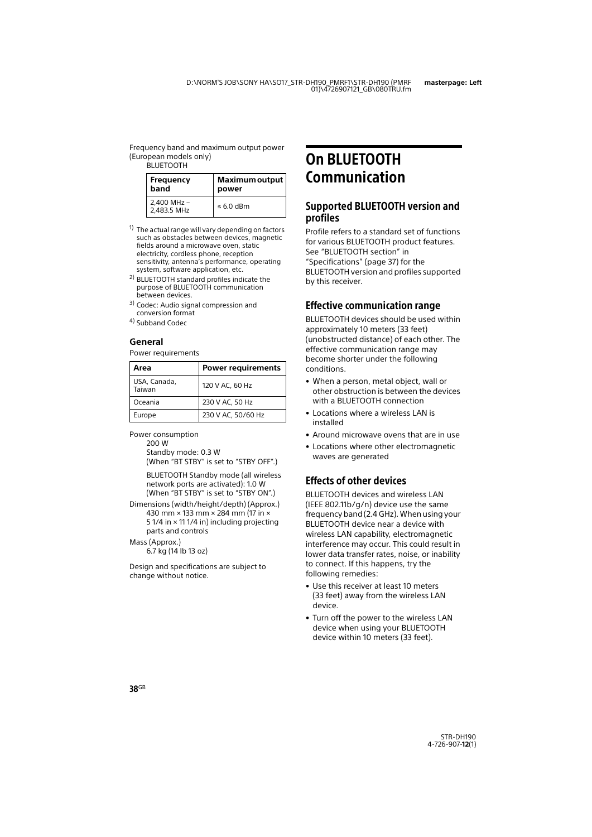Frequency band and maximum output power (European models only) **BLUETOOTH** 

| <b>Frequency</b>           | Maximum output |
|----------------------------|----------------|
| band                       | power          |
| 2,400 MHz -<br>2.483.5 MHz | $\leq 6.0$ dBm |

- $1)$  The actual range will vary depending on factors such as obstacles between devices, magnetic fields around a microwave oven, static electricity, cordless phone, reception sensitivity, antenna's performance, operating system, software application, etc.
- <sup>2)</sup> BLUETOOTH standard profiles indicate the purpose of BLUETOOTH communication between devices.
- 3) Codec: Audio signal compression and conversion format
- 4) Subband Codec

#### **General**

Power requirements

| Area                   | <b>Power requirements</b> |
|------------------------|---------------------------|
| USA, Canada,<br>Taiwan | 120 V AC, 60 Hz           |
| Oceania                | 230 V AC, 50 Hz           |
| Europe                 | 230 V AC, 50/60 Hz        |

<span id="page-37-1"></span>Power consumption

200 W

Standby mode: 0.3 W

(When "BT STBY" is set to "STBY OFF".)

BLUETOOTH Standby mode (all wireless network ports are activated): 1.0 W (When "BT STBY" is set to "STBY ON".)

Dimensions (width/height/depth) (Approx.) 430 mm × 133 mm × 284 mm (17 in × 5 1/4 in × 11 1/4 in) including projecting parts and controls

Mass (Approx.)

6.7 kg (14 lb 13 oz)

Design and specifications are subject to change without notice.

# <span id="page-37-0"></span>On BLUETOOTH Communication

### Supported BLUETOOTH version and profiles

Profile refers to a standard set of functions for various BLUETOOTH product features. See "BLUETOOTH section" in "Specifications" [\(page 37\)](#page-36-1) for the BLUETOOTH version and profiles supported by this receiver.

### Effective communication range

BLUETOOTH devices should be used within approximately 10 meters (33 feet) (unobstructed distance) of each other. The effective communication range may become shorter under the following conditions.

- When a person, metal object, wall or other obstruction is between the devices with a BLUETOOTH connection
- Locations where a wireless LAN is installed
- Around microwave ovens that are in use
- Locations where other electromagnetic waves are generated

### Effects of other devices

BLUETOOTH devices and wireless LAN (IEEE 802.11b/g/n) device use the same frequency band (2.4 GHz). When using your BLUETOOTH device near a device with wireless LAN capability, electromagnetic interference may occur. This could result in lower data transfer rates, noise, or inability to connect. If this happens, try the following remedies:

- Use this receiver at least 10 meters (33 feet) away from the wireless LAN device.
- Turn off the power to the wireless LAN device when using your BLUETOOTH device within 10 meters (33 feet).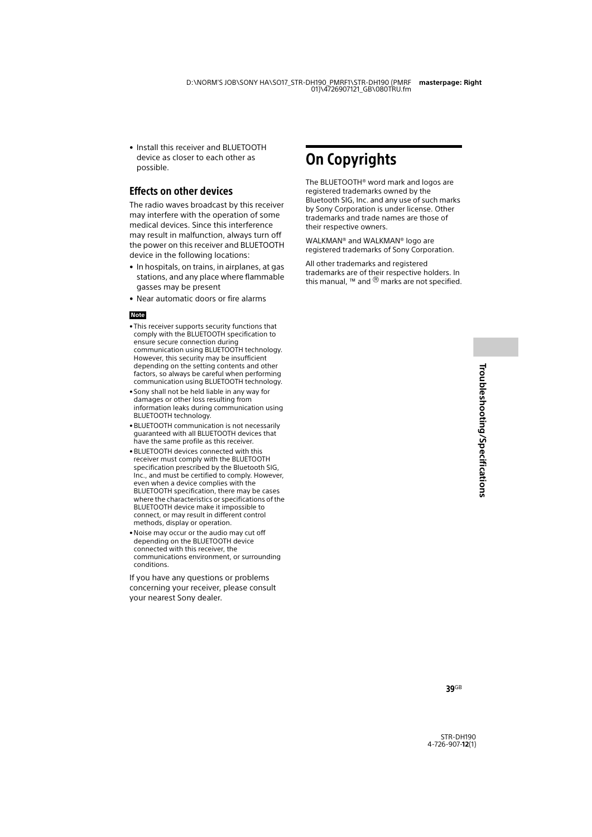Troubleshooting/Specifications **Troubleshooting/Specifications**

• Install this receiver and BLUETOOTH device as closer to each other as possible.

### Effects on other devices

The radio waves broadcast by this receiver may interfere with the operation of some medical devices. Since this interference may result in malfunction, always turn off the power on this receiver and BLUETOOTH device in the following locations:

- In hospitals, on trains, in airplanes, at gas stations, and any place where flammable gasses may be present
- Near automatic doors or fire alarms

#### **Note**

- This receiver supports security functions that comply with the BLUETOOTH specification to ensure secure connection during communication using BLUETOOTH technology. However, this security may be insufficient depending on the setting contents and other factors, so always be careful when performing communication using BLUETOOTH technology.
- Sony shall not be held liable in any way for damages or other loss resulting from information leaks during communication using BLUETOOTH technology.
- BLUETOOTH communication is not necessarily guaranteed with all BLUETOOTH devices that have the same profile as this receiver.
- BLUETOOTH devices connected with this receiver must comply with the BLUETOOTH specification prescribed by the Bluetooth SIG, Inc., and must be certified to comply. However, even when a device complies with the BLUETOOTH specification, there may be cases where the characteristics or specifications of the BLUETOOTH device make it impossible to connect, or may result in different control methods, display or operation.
- Noise may occur or the audio may cut off depending on the BLUETOOTH device connected with this receiver, the communications environment, or surrounding conditions.

If you have any questions or problems concerning your receiver, please consult your nearest Sony dealer.

# <span id="page-38-0"></span>On Copyrights

The BLUETOOTH® word mark and logos are registered trademarks owned by the Bluetooth SIG, Inc. and any use of such marks by Sony Corporation is under license. Other trademarks and trade names are those of their respective owners.

WALKMAN® and WALKMAN® logo are registered trademarks of Sony Corporation.

All other trademarks and registered trademarks are of their respective holders. In this manual, ™ and  $\overline{®}$  marks are not specified.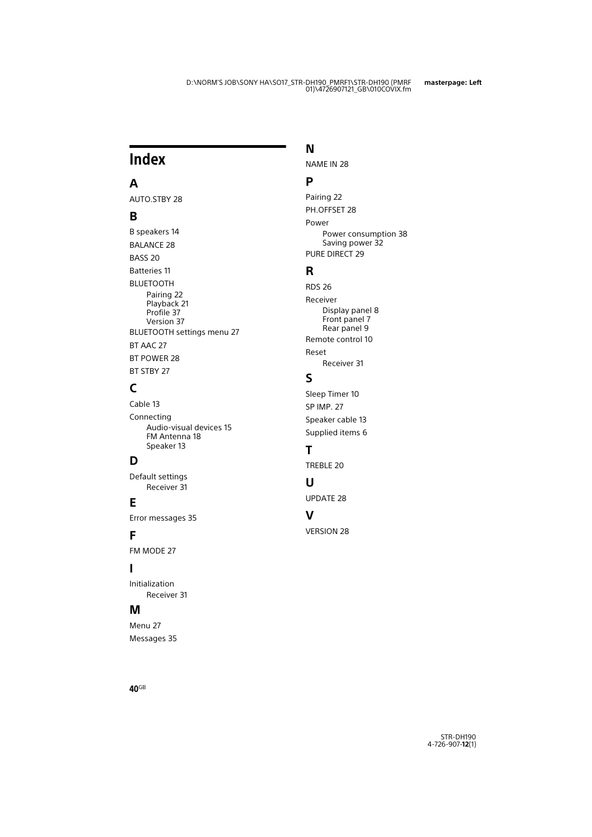# <span id="page-39-0"></span>Index

### **A**

AUTO.STBY [28](#page-27-3)

### **B**

B speakers [14](#page-13-0) BALANCE [28](#page-27-4) BASS [20](#page-19-0) Batteries [11](#page-10-0) BLUETOOTH Pairing [22](#page-21-2) Playback [21](#page-20-4) Profile [37](#page-36-2) Version [37](#page-36-3) BLUETOOTH settings menu [27](#page-26-5) BT AAC [27](#page-26-4) BT POWER [28](#page-27-0) **BT STBY [27](#page-26-3)** 

### **C**

Cable [13](#page-12-1) Connecting Audio-visual devices [15](#page-14-2) FM Antenna [18](#page-17-2) Speaker [13](#page-12-2)

### **D**

Default settings Receiver [31](#page-30-2)

### **E**

Error messages [35](#page-34-1)

### **F**

FM MODE [27](#page-26-6)

### **I**

Initialization Receiver [31](#page-30-2)

### **M**

Menu [27](#page-26-7) Messages [35](#page-34-1)

### **N**

NAME IN [28](#page-27-5)

### **P**

Pairing [22](#page-21-2) PH.OFFSET [28](#page-27-1) Power Power consumption [38](#page-37-1) Saving power [32](#page-31-1) PURE DIRECT [29](#page-28-4)

### **R**

RDS [26](#page-25-1) Receiver Display panel [8](#page-7-1) Front panel [7](#page-6-1) Rear panel [9](#page-8-0) Remote control [10](#page-9-0) Reset Receiver [31](#page-30-2)

### **S**

Sleep Timer [10](#page-9-1) SP IMP. [27](#page-26-8) Speaker cable [13](#page-12-1) Supplied items [6](#page-5-2)

### **T**

TREBLE [20](#page-19-1)

### **U**

UPDATE [28](#page-27-6)

### **V**

VERSION [28](#page-27-7)